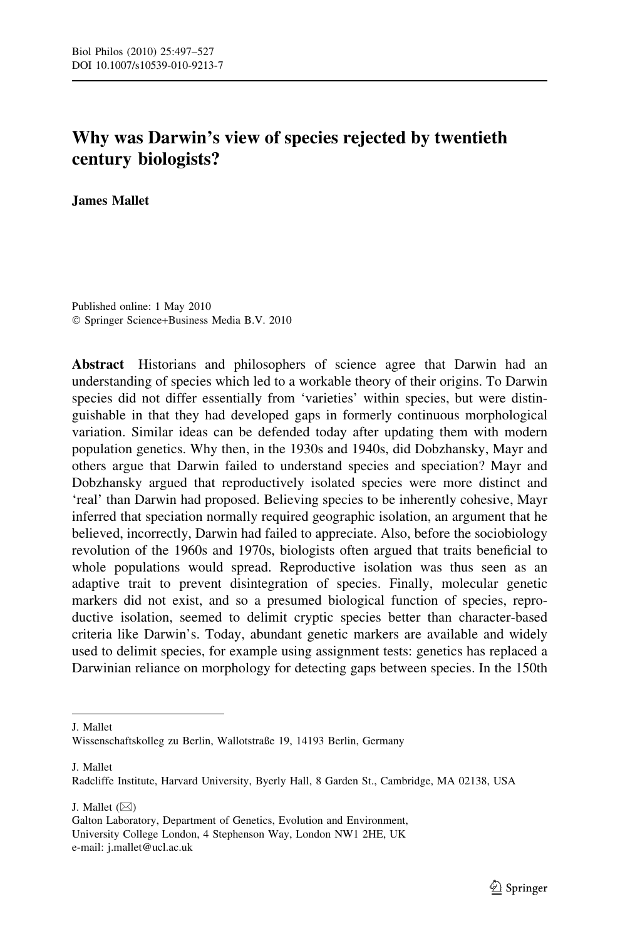# Why was Darwin's view of species rejected by twentieth century biologists?

James Mallet

Published online: 1 May 2010 - Springer Science+Business Media B.V. 2010

Abstract Historians and philosophers of science agree that Darwin had an understanding of species which led to a workable theory of their origins. To Darwin species did not differ essentially from 'varieties' within species, but were distinguishable in that they had developed gaps in formerly continuous morphological variation. Similar ideas can be defended today after updating them with modern population genetics. Why then, in the 1930s and 1940s, did Dobzhansky, Mayr and others argue that Darwin failed to understand species and speciation? Mayr and Dobzhansky argued that reproductively isolated species were more distinct and 'real' than Darwin had proposed. Believing species to be inherently cohesive, Mayr inferred that speciation normally required geographic isolation, an argument that he believed, incorrectly, Darwin had failed to appreciate. Also, before the sociobiology revolution of the 1960s and 1970s, biologists often argued that traits beneficial to whole populations would spread. Reproductive isolation was thus seen as an adaptive trait to prevent disintegration of species. Finally, molecular genetic markers did not exist, and so a presumed biological function of species, reproductive isolation, seemed to delimit cryptic species better than character-based criteria like Darwin's. Today, abundant genetic markers are available and widely used to delimit species, for example using assignment tests: genetics has replaced a Darwinian reliance on morphology for detecting gaps between species. In the 150th

J. Mallet

J. Mallet

Radcliffe Institute, Harvard University, Byerly Hall, 8 Garden St., Cambridge, MA 02138, USA

J. Mallet  $(\boxtimes)$ 

Galton Laboratory, Department of Genetics, Evolution and Environment, University College London, 4 Stephenson Way, London NW1 2HE, UK e-mail: j.mallet@ucl.ac.uk

Wissenschaftskolleg zu Berlin, Wallotstraße 19, 14193 Berlin, Germany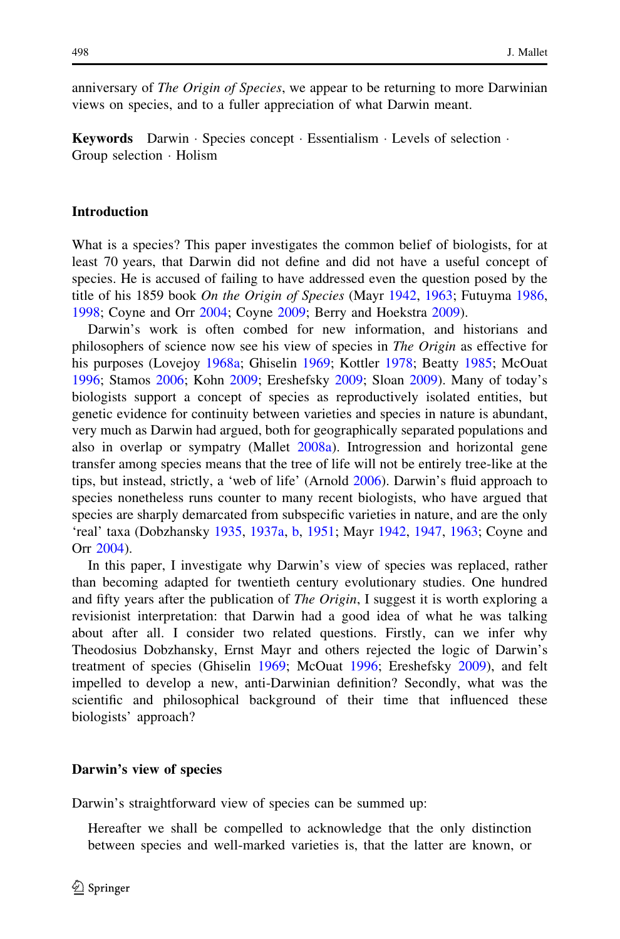anniversary of *The Origin of Species*, we appear to be returning to more Darwinian views on species, and to a fuller appreciation of what Darwin meant.

Keywords Darwin · Species concept · Essentialism · Levels of selection · Group selection - Holism

### Introduction

What is a species? This paper investigates the common belief of biologists, for at least 70 years, that Darwin did not define and did not have a useful concept of species. He is accused of failing to have addressed even the question posed by the title of his 1859 book On the Origin of Species (Mayr [1942](#page-28-0), [1963](#page-28-0); Futuyma [1986,](#page-27-0) [1998;](#page-27-0) Coyne and Orr [2004](#page-27-0); Coyne [2009;](#page-27-0) Berry and Hoekstra [2009](#page-26-0)).

Darwin's work is often combed for new information, and historians and philosophers of science now see his view of species in The Origin as effective for his purposes (Lovejoy [1968a](#page-28-0); Ghiselin [1969](#page-27-0); Kottler [1978;](#page-28-0) Beatty [1985](#page-26-0); McOuat [1996;](#page-29-0) Stamos [2006;](#page-30-0) Kohn [2009;](#page-28-0) Ereshefsky [2009](#page-27-0); Sloan [2009](#page-29-0)). Many of today's biologists support a concept of species as reproductively isolated entities, but genetic evidence for continuity between varieties and species in nature is abundant, very much as Darwin had argued, both for geographically separated populations and also in overlap or sympatry (Mallet [2008a](#page-28-0)). Introgression and horizontal gene transfer among species means that the tree of life will not be entirely tree-like at the tips, but instead, strictly, a 'web of life' (Arnold [2006](#page-26-0)). Darwin's fluid approach to species nonetheless runs counter to many recent biologists, who have argued that species are sharply demarcated from subspecific varieties in nature, and are the only 'real' taxa (Dobzhansky [1935,](#page-27-0) [1937a,](#page-27-0) [b](#page-27-0), [1951;](#page-27-0) Mayr [1942](#page-28-0), [1947,](#page-28-0) [1963;](#page-28-0) Coyne and Orr [2004](#page-27-0)).

In this paper, I investigate why Darwin's view of species was replaced, rather than becoming adapted for twentieth century evolutionary studies. One hundred and fifty years after the publication of *The Origin*, I suggest it is worth exploring a revisionist interpretation: that Darwin had a good idea of what he was talking about after all. I consider two related questions. Firstly, can we infer why Theodosius Dobzhansky, Ernst Mayr and others rejected the logic of Darwin's treatment of species (Ghiselin [1969;](#page-27-0) McOuat [1996](#page-29-0); Ereshefsky [2009\)](#page-27-0), and felt impelled to develop a new, anti-Darwinian definition? Secondly, what was the scientific and philosophical background of their time that influenced these biologists' approach?

### Darwin's view of species

Darwin's straightforward view of species can be summed up:

Hereafter we shall be compelled to acknowledge that the only distinction between species and well-marked varieties is, that the latter are known, or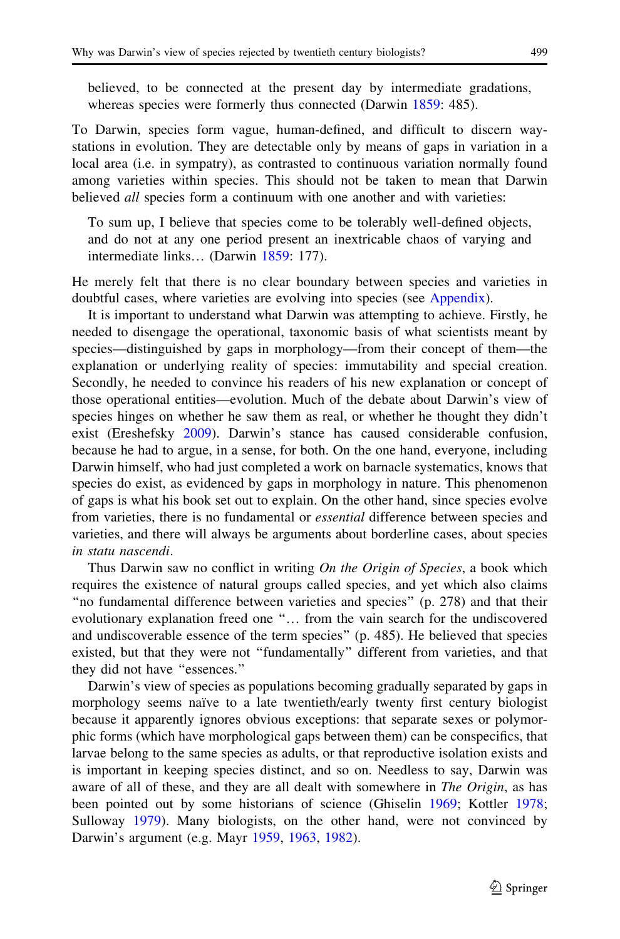believed, to be connected at the present day by intermediate gradations, whereas species were formerly thus connected (Darwin [1859](#page-27-0): 485).

To Darwin, species form vague, human-defined, and difficult to discern waystations in evolution. They are detectable only by means of gaps in variation in a local area (i.e. in sympatry), as contrasted to continuous variation normally found among varieties within species. This should not be taken to mean that Darwin believed all species form a continuum with one another and with varieties:

To sum up, I believe that species come to be tolerably well-defined objects, and do not at any one period present an inextricable chaos of varying and intermediate links… (Darwin [1859](#page-27-0): 177).

He merely felt that there is no clear boundary between species and varieties in doubtful cases, where varieties are evolving into species (see [Appendix](#page-20-0)).

It is important to understand what Darwin was attempting to achieve. Firstly, he needed to disengage the operational, taxonomic basis of what scientists meant by species—distinguished by gaps in morphology—from their concept of them—the explanation or underlying reality of species: immutability and special creation. Secondly, he needed to convince his readers of his new explanation or concept of those operational entities—evolution. Much of the debate about Darwin's view of species hinges on whether he saw them as real, or whether he thought they didn't exist (Ereshefsky [2009](#page-27-0)). Darwin's stance has caused considerable confusion, because he had to argue, in a sense, for both. On the one hand, everyone, including Darwin himself, who had just completed a work on barnacle systematics, knows that species do exist, as evidenced by gaps in morphology in nature. This phenomenon of gaps is what his book set out to explain. On the other hand, since species evolve from varieties, there is no fundamental or essential difference between species and varieties, and there will always be arguments about borderline cases, about species in statu nascendi.

Thus Darwin saw no conflict in writing On the Origin of Species, a book which requires the existence of natural groups called species, and yet which also claims ''no fundamental difference between varieties and species'' (p. 278) and that their evolutionary explanation freed one ''… from the vain search for the undiscovered and undiscoverable essence of the term species'' (p. 485). He believed that species existed, but that they were not ''fundamentally'' different from varieties, and that they did not have ''essences.''

Darwin's view of species as populations becoming gradually separated by gaps in morphology seems naïve to a late twentieth/early twenty first century biologist because it apparently ignores obvious exceptions: that separate sexes or polymorphic forms (which have morphological gaps between them) can be conspecifics, that larvae belong to the same species as adults, or that reproductive isolation exists and is important in keeping species distinct, and so on. Needless to say, Darwin was aware of all of these, and they are all dealt with somewhere in *The Origin*, as has been pointed out by some historians of science (Ghiselin [1969](#page-27-0); Kottler [1978;](#page-28-0) Sulloway [1979](#page-30-0)). Many biologists, on the other hand, were not convinced by Darwin's argument (e.g. Mayr [1959,](#page-28-0) [1963](#page-28-0), [1982](#page-29-0)).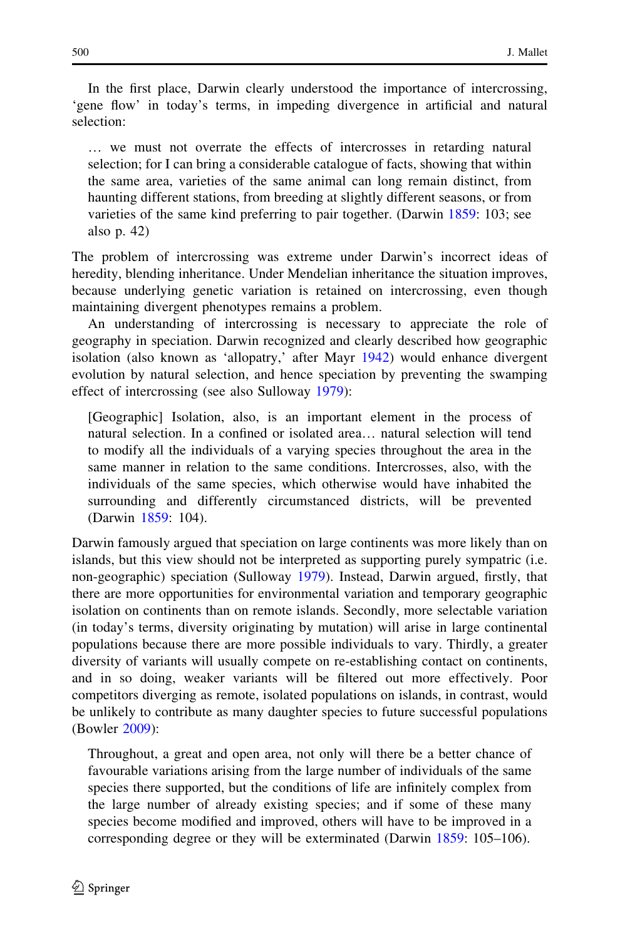In the first place, Darwin clearly understood the importance of intercrossing, 'gene flow' in today's terms, in impeding divergence in artificial and natural selection:

… we must not overrate the effects of intercrosses in retarding natural selection; for I can bring a considerable catalogue of facts, showing that within the same area, varieties of the same animal can long remain distinct, from haunting different stations, from breeding at slightly different seasons, or from varieties of the same kind preferring to pair together. (Darwin [1859:](#page-27-0) 103; see also p. 42)

The problem of intercrossing was extreme under Darwin's incorrect ideas of heredity, blending inheritance. Under Mendelian inheritance the situation improves, because underlying genetic variation is retained on intercrossing, even though maintaining divergent phenotypes remains a problem.

An understanding of intercrossing is necessary to appreciate the role of geography in speciation. Darwin recognized and clearly described how geographic isolation (also known as 'allopatry,' after Mayr [1942](#page-28-0)) would enhance divergent evolution by natural selection, and hence speciation by preventing the swamping effect of intercrossing (see also Sulloway [1979\)](#page-30-0):

[Geographic] Isolation, also, is an important element in the process of natural selection. In a confined or isolated area… natural selection will tend to modify all the individuals of a varying species throughout the area in the same manner in relation to the same conditions. Intercrosses, also, with the individuals of the same species, which otherwise would have inhabited the surrounding and differently circumstanced districts, will be prevented (Darwin [1859:](#page-27-0) 104).

Darwin famously argued that speciation on large continents was more likely than on islands, but this view should not be interpreted as supporting purely sympatric (i.e. non-geographic) speciation (Sulloway [1979\)](#page-30-0). Instead, Darwin argued, firstly, that there are more opportunities for environmental variation and temporary geographic isolation on continents than on remote islands. Secondly, more selectable variation (in today's terms, diversity originating by mutation) will arise in large continental populations because there are more possible individuals to vary. Thirdly, a greater diversity of variants will usually compete on re-establishing contact on continents, and in so doing, weaker variants will be filtered out more effectively. Poor competitors diverging as remote, isolated populations on islands, in contrast, would be unlikely to contribute as many daughter species to future successful populations (Bowler [2009](#page-26-0)):

Throughout, a great and open area, not only will there be a better chance of favourable variations arising from the large number of individuals of the same species there supported, but the conditions of life are infinitely complex from the large number of already existing species; and if some of these many species become modified and improved, others will have to be improved in a corresponding degree or they will be exterminated (Darwin [1859](#page-27-0): 105–106).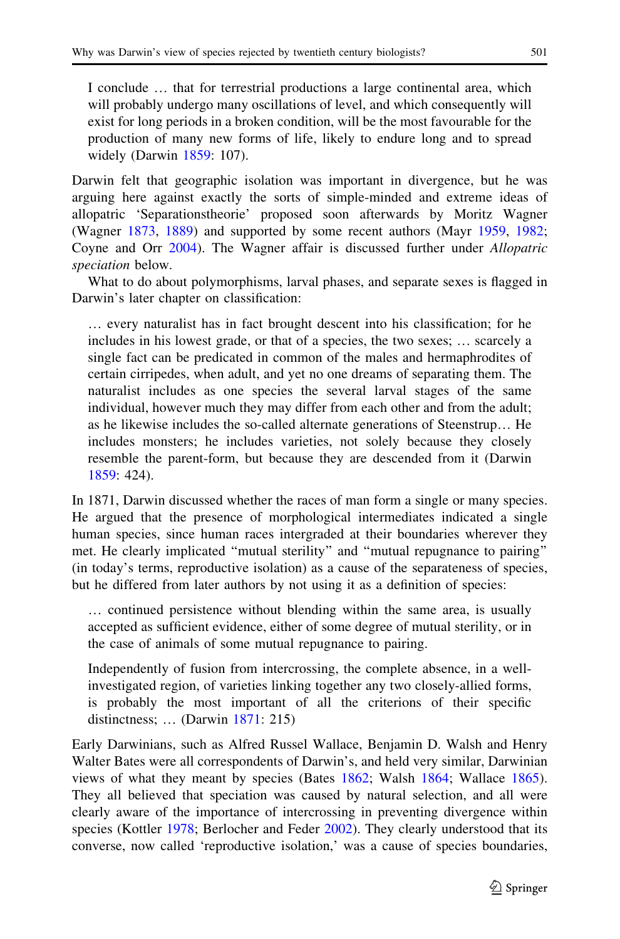I conclude … that for terrestrial productions a large continental area, which will probably undergo many oscillations of level, and which consequently will exist for long periods in a broken condition, will be the most favourable for the production of many new forms of life, likely to endure long and to spread widely (Darwin [1859](#page-27-0): 107).

Darwin felt that geographic isolation was important in divergence, but he was arguing here against exactly the sorts of simple-minded and extreme ideas of allopatric 'Separationstheorie' proposed soon afterwards by Moritz Wagner (Wagner [1873](#page-30-0), [1889](#page-30-0)) and supported by some recent authors (Mayr [1959,](#page-28-0) [1982;](#page-29-0) Coyne and Orr [2004\)](#page-27-0). The Wagner affair is discussed further under Allopatric speciation below.

What to do about polymorphisms, larval phases, and separate sexes is flagged in Darwin's later chapter on classification:

… every naturalist has in fact brought descent into his classification; for he includes in his lowest grade, or that of a species, the two sexes; … scarcely a single fact can be predicated in common of the males and hermaphrodites of certain cirripedes, when adult, and yet no one dreams of separating them. The naturalist includes as one species the several larval stages of the same individual, however much they may differ from each other and from the adult; as he likewise includes the so-called alternate generations of Steenstrup… He includes monsters; he includes varieties, not solely because they closely resemble the parent-form, but because they are descended from it (Darwin [1859](#page-27-0): 424).

In 1871, Darwin discussed whether the races of man form a single or many species. He argued that the presence of morphological intermediates indicated a single human species, since human races intergraded at their boundaries wherever they met. He clearly implicated ''mutual sterility'' and ''mutual repugnance to pairing'' (in today's terms, reproductive isolation) as a cause of the separateness of species, but he differed from later authors by not using it as a definition of species:

… continued persistence without blending within the same area, is usually accepted as sufficient evidence, either of some degree of mutual sterility, or in the case of animals of some mutual repugnance to pairing.

Independently of fusion from intercrossing, the complete absence, in a wellinvestigated region, of varieties linking together any two closely-allied forms, is probably the most important of all the criterions of their specific distinctness; … (Darwin [1871](#page-27-0): 215)

Early Darwinians, such as Alfred Russel Wallace, Benjamin D. Walsh and Henry Walter Bates were all correspondents of Darwin's, and held very similar, Darwinian views of what they meant by species (Bates [1862;](#page-26-0) Walsh [1864](#page-30-0); Wallace [1865\)](#page-30-0). They all believed that speciation was caused by natural selection, and all were clearly aware of the importance of intercrossing in preventing divergence within species (Kottler [1978;](#page-28-0) Berlocher and Feder [2002\)](#page-26-0). They clearly understood that its converse, now called 'reproductive isolation,' was a cause of species boundaries,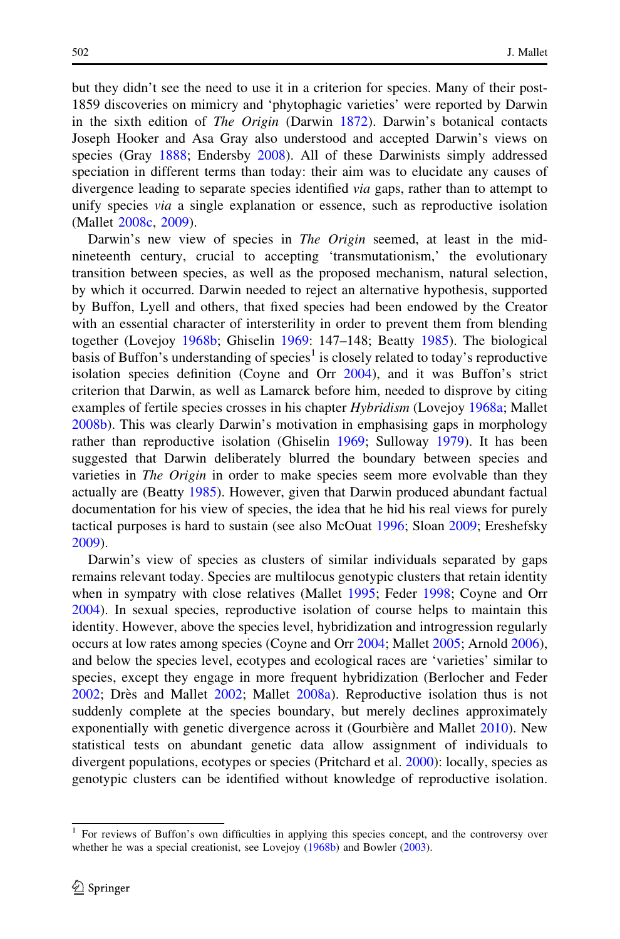but they didn't see the need to use it in a criterion for species. Many of their post-1859 discoveries on mimicry and 'phytophagic varieties' were reported by Darwin in the sixth edition of *The Origin* (Darwin [1872\)](#page-27-0). Darwin's botanical contacts Joseph Hooker and Asa Gray also understood and accepted Darwin's views on species (Gray [1888;](#page-27-0) Endersby [2008\)](#page-27-0). All of these Darwinists simply addressed speciation in different terms than today: their aim was to elucidate any causes of divergence leading to separate species identified *via* gaps, rather than to attempt to unify species *via* a single explanation or essence, such as reproductive isolation (Mallet [2008c](#page-28-0), [2009](#page-28-0)).

Darwin's new view of species in *The Origin* seemed, at least in the midnineteenth century, crucial to accepting 'transmutationism,' the evolutionary transition between species, as well as the proposed mechanism, natural selection, by which it occurred. Darwin needed to reject an alternative hypothesis, supported by Buffon, Lyell and others, that fixed species had been endowed by the Creator with an essential character of intersterility in order to prevent them from blending together (Lovejoy [1968b;](#page-28-0) Ghiselin [1969](#page-27-0): 147–148; Beatty [1985](#page-26-0)). The biological basis of Buffon's understanding of species<sup>1</sup> is closely related to today's reproductive isolation species definition (Coyne and Orr [2004\)](#page-27-0), and it was Buffon's strict criterion that Darwin, as well as Lamarck before him, needed to disprove by citing examples of fertile species crosses in his chapter *Hybridism* (Lovejoy [1968a;](#page-28-0) Mallet [2008b\)](#page-28-0). This was clearly Darwin's motivation in emphasising gaps in morphology rather than reproductive isolation (Ghiselin [1969;](#page-27-0) Sulloway [1979](#page-30-0)). It has been suggested that Darwin deliberately blurred the boundary between species and varieties in *The Origin* in order to make species seem more evolvable than they actually are (Beatty [1985\)](#page-26-0). However, given that Darwin produced abundant factual documentation for his view of species, the idea that he hid his real views for purely tactical purposes is hard to sustain (see also McOuat [1996;](#page-29-0) Sloan [2009](#page-29-0); Ereshefsky [2009\)](#page-27-0).

Darwin's view of species as clusters of similar individuals separated by gaps remains relevant today. Species are multilocus genotypic clusters that retain identity when in sympatry with close relatives (Mallet [1995](#page-28-0); Feder [1998;](#page-27-0) Coyne and Orr [2004\)](#page-27-0). In sexual species, reproductive isolation of course helps to maintain this identity. However, above the species level, hybridization and introgression regularly occurs at low rates among species (Coyne and Orr [2004](#page-27-0); Mallet [2005;](#page-28-0) Arnold [2006\)](#page-26-0), and below the species level, ecotypes and ecological races are 'varieties' similar to species, except they engage in more frequent hybridization (Berlocher and Feder [2002;](#page-27-0) Drès and Mallet 2002; Mallet [2008a\)](#page-28-0). Reproductive isolation thus is not suddenly complete at the species boundary, but merely declines approximately exponentially with genetic divergence across it (Gourbière and Mallet [2010](#page-27-0)). New statistical tests on abundant genetic data allow assignment of individuals to divergent populations, ecotypes or species (Pritchard et al. [2000\)](#page-29-0): locally, species as genotypic clusters can be identified without knowledge of reproductive isolation.

<sup>&</sup>lt;sup>1</sup> For reviews of Buffon's own difficulties in applying this species concept, and the controversy over whether he was a special creationist, see Lovejoy [\(1968b](#page-28-0)) and Bowler [\(2003](#page-26-0)).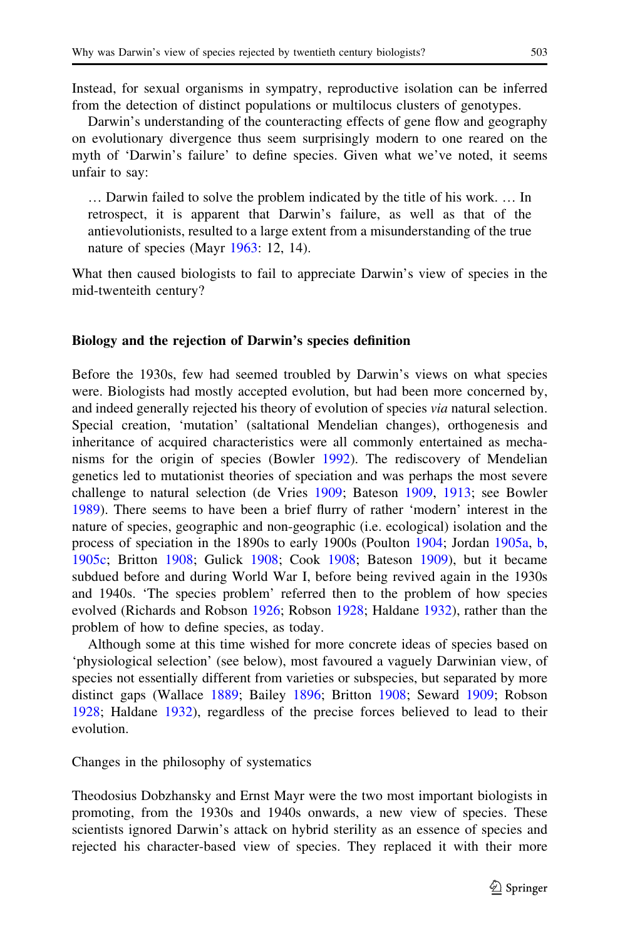Instead, for sexual organisms in sympatry, reproductive isolation can be inferred from the detection of distinct populations or multilocus clusters of genotypes.

Darwin's understanding of the counteracting effects of gene flow and geography on evolutionary divergence thus seem surprisingly modern to one reared on the myth of 'Darwin's failure' to define species. Given what we've noted, it seems unfair to say:

… Darwin failed to solve the problem indicated by the title of his work. … In retrospect, it is apparent that Darwin's failure, as well as that of the antievolutionists, resulted to a large extent from a misunderstanding of the true nature of species (Mayr [1963:](#page-28-0) 12, 14).

What then caused biologists to fail to appreciate Darwin's view of species in the mid-twenteith century?

### Biology and the rejection of Darwin's species definition

Before the 1930s, few had seemed troubled by Darwin's views on what species were. Biologists had mostly accepted evolution, but had been more concerned by, and indeed generally rejected his theory of evolution of species via natural selection. Special creation, 'mutation' (saltational Mendelian changes), orthogenesis and inheritance of acquired characteristics were all commonly entertained as mechanisms for the origin of species (Bowler [1992](#page-26-0)). The rediscovery of Mendelian genetics led to mutationist theories of speciation and was perhaps the most severe challenge to natural selection (de Vries [1909;](#page-27-0) Bateson [1909](#page-26-0), [1913](#page-26-0); see Bowler [1989\)](#page-26-0). There seems to have been a brief flurry of rather 'modern' interest in the nature of species, geographic and non-geographic (i.e. ecological) isolation and the process of speciation in the 1890s to early 1900s (Poulton [1904](#page-29-0); Jordan [1905a,](#page-28-0) [b,](#page-28-0) [1905c](#page-28-0); Britton [1908](#page-26-0); Gulick [1908;](#page-28-0) Cook [1908](#page-26-0); Bateson [1909\)](#page-26-0), but it became subdued before and during World War I, before being revived again in the 1930s and 1940s. 'The species problem' referred then to the problem of how species evolved (Richards and Robson [1926;](#page-29-0) Robson [1928](#page-29-0); Haldane [1932](#page-28-0)), rather than the problem of how to define species, as today.

Although some at this time wished for more concrete ideas of species based on 'physiological selection' (see below), most favoured a vaguely Darwinian view, of species not essentially different from varieties or subspecies, but separated by more distinct gaps (Wallace [1889](#page-30-0); Bailey [1896;](#page-26-0) Britton [1908](#page-26-0); Seward [1909](#page-29-0); Robson [1928;](#page-29-0) Haldane [1932\)](#page-28-0), regardless of the precise forces believed to lead to their evolution.

Changes in the philosophy of systematics

Theodosius Dobzhansky and Ernst Mayr were the two most important biologists in promoting, from the 1930s and 1940s onwards, a new view of species. These scientists ignored Darwin's attack on hybrid sterility as an essence of species and rejected his character-based view of species. They replaced it with their more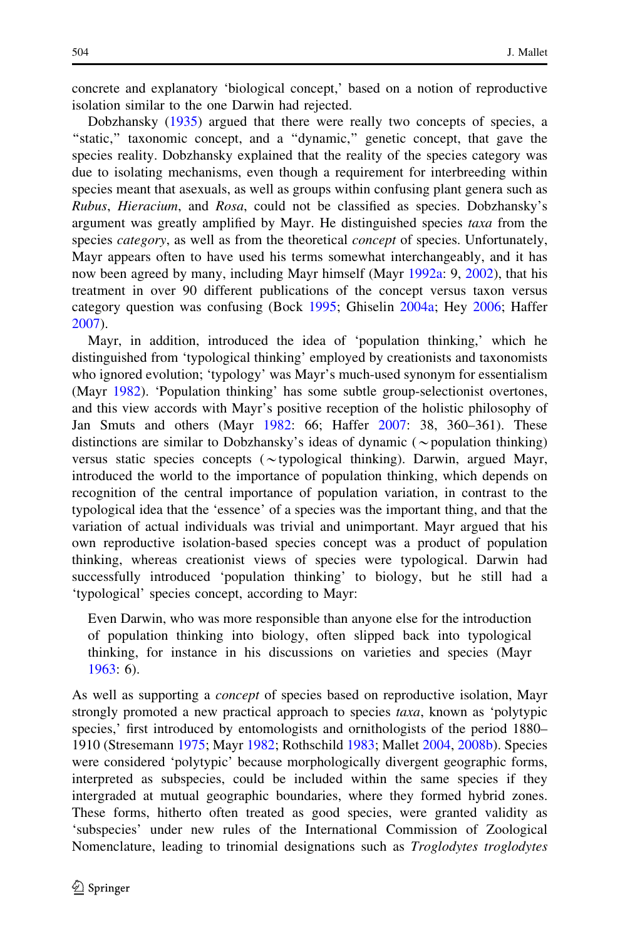concrete and explanatory 'biological concept,' based on a notion of reproductive isolation similar to the one Darwin had rejected.

Dobzhansky [\(1935](#page-27-0)) argued that there were really two concepts of species, a ''static,'' taxonomic concept, and a ''dynamic,'' genetic concept, that gave the species reality. Dobzhansky explained that the reality of the species category was due to isolating mechanisms, even though a requirement for interbreeding within species meant that asexuals, as well as groups within confusing plant genera such as Rubus, Hieracium, and Rosa, could not be classified as species. Dobzhansky's argument was greatly amplified by Mayr. He distinguished species taxa from the species *category*, as well as from the theoretical *concept* of species. Unfortunately, Mayr appears often to have used his terms somewhat interchangeably, and it has now been agreed by many, including Mayr himself (Mayr [1992a:](#page-29-0) 9, [2002\)](#page-29-0), that his treatment in over 90 different publications of the concept versus taxon versus category question was confusing (Bock [1995;](#page-26-0) Ghiselin [2004a](#page-27-0); Hey [2006](#page-28-0); Haffer [2007\)](#page-28-0).

Mayr, in addition, introduced the idea of 'population thinking,' which he distinguished from 'typological thinking' employed by creationists and taxonomists who ignored evolution; 'typology' was Mayr's much-used synonym for essentialism (Mayr [1982\)](#page-29-0). 'Population thinking' has some subtle group-selectionist overtones, and this view accords with Mayr's positive reception of the holistic philosophy of Jan Smuts and others (Mayr [1982:](#page-29-0) 66; Haffer [2007](#page-28-0): 38, 360–361). These distinctions are similar to Dobzhansky's ideas of dynamic ( $\sim$  population thinking) versus static species concepts ( $\sim$ typological thinking). Darwin, argued Mayr, introduced the world to the importance of population thinking, which depends on recognition of the central importance of population variation, in contrast to the typological idea that the 'essence' of a species was the important thing, and that the variation of actual individuals was trivial and unimportant. Mayr argued that his own reproductive isolation-based species concept was a product of population thinking, whereas creationist views of species were typological. Darwin had successfully introduced 'population thinking' to biology, but he still had a 'typological' species concept, according to Mayr:

Even Darwin, who was more responsible than anyone else for the introduction of population thinking into biology, often slipped back into typological thinking, for instance in his discussions on varieties and species (Mayr [1963](#page-28-0): 6).

As well as supporting a concept of species based on reproductive isolation, Mayr strongly promoted a new practical approach to species *taxa*, known as 'polytypic species,' first introduced by entomologists and ornithologists of the period 1880– 1910 (Stresemann [1975;](#page-30-0) Mayr [1982;](#page-29-0) Rothschild [1983;](#page-29-0) Mallet [2004,](#page-28-0) [2008b\)](#page-28-0). Species were considered 'polytypic' because morphologically divergent geographic forms, interpreted as subspecies, could be included within the same species if they intergraded at mutual geographic boundaries, where they formed hybrid zones. These forms, hitherto often treated as good species, were granted validity as 'subspecies' under new rules of the International Commission of Zoological Nomenclature, leading to trinomial designations such as Troglodytes troglodytes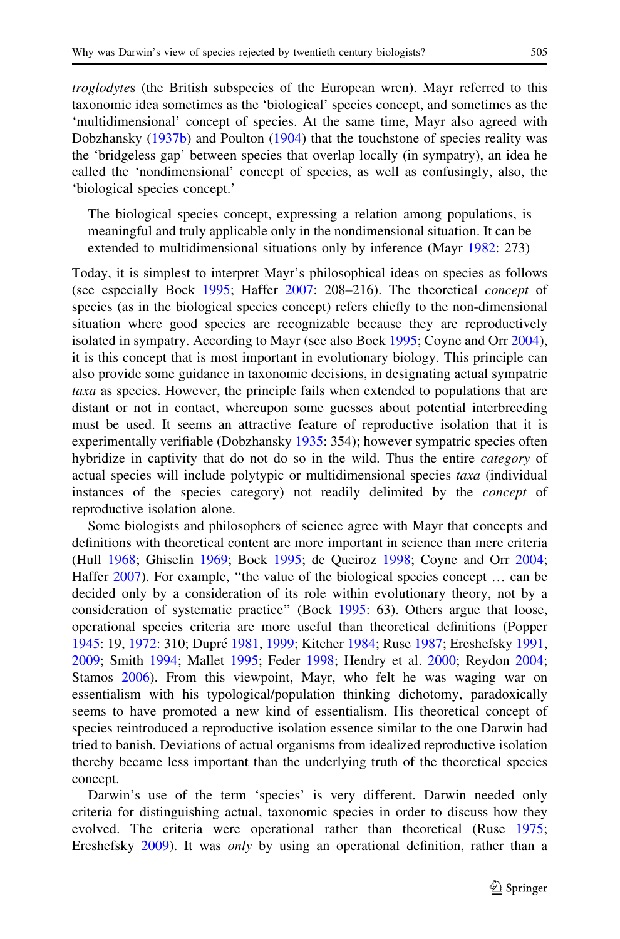troglodytes (the British subspecies of the European wren). Mayr referred to this taxonomic idea sometimes as the 'biological' species concept, and sometimes as the 'multidimensional' concept of species. At the same time, Mayr also agreed with Dobzhansky [\(1937b](#page-27-0)) and Poulton ([1904\)](#page-29-0) that the touchstone of species reality was the 'bridgeless gap' between species that overlap locally (in sympatry), an idea he called the 'nondimensional' concept of species, as well as confusingly, also, the 'biological species concept.'

The biological species concept, expressing a relation among populations, is meaningful and truly applicable only in the nondimensional situation. It can be extended to multidimensional situations only by inference (Mayr [1982](#page-29-0): 273)

Today, it is simplest to interpret Mayr's philosophical ideas on species as follows (see especially Bock [1995](#page-26-0); Haffer [2007](#page-28-0): 208–216). The theoretical concept of species (as in the biological species concept) refers chiefly to the non-dimensional situation where good species are recognizable because they are reproductively isolated in sympatry. According to Mayr (see also Bock [1995;](#page-26-0) Coyne and Orr [2004\)](#page-27-0), it is this concept that is most important in evolutionary biology. This principle can also provide some guidance in taxonomic decisions, in designating actual sympatric taxa as species. However, the principle fails when extended to populations that are distant or not in contact, whereupon some guesses about potential interbreeding must be used. It seems an attractive feature of reproductive isolation that it is experimentally verifiable (Dobzhansky [1935](#page-27-0): 354); however sympatric species often hybridize in captivity that do not do so in the wild. Thus the entire *category* of actual species will include polytypic or multidimensional species taxa (individual instances of the species category) not readily delimited by the concept of reproductive isolation alone.

Some biologists and philosophers of science agree with Mayr that concepts and definitions with theoretical content are more important in science than mere criteria (Hull [1968](#page-28-0); Ghiselin [1969;](#page-27-0) Bock [1995](#page-26-0); de Queiroz [1998](#page-27-0); Coyne and Orr [2004;](#page-27-0) Haffer [2007](#page-28-0)). For example, "the value of the biological species concept ... can be decided only by a consideration of its role within evolutionary theory, not by a consideration of systematic practice'' (Bock [1995:](#page-26-0) 63). Others argue that loose, operational species criteria are more useful than theoretical definitions (Popper [1945:](#page-29-0) 19, [1972](#page-29-0): 310; Dupre´ [1981,](#page-27-0) [1999;](#page-27-0) Kitcher [1984](#page-28-0); Ruse [1987;](#page-29-0) Ereshefsky [1991,](#page-27-0) [2009;](#page-27-0) Smith [1994;](#page-29-0) Mallet [1995](#page-28-0); Feder [1998](#page-27-0); Hendry et al. [2000](#page-28-0); Reydon [2004;](#page-29-0) Stamos [2006](#page-30-0)). From this viewpoint, Mayr, who felt he was waging war on essentialism with his typological/population thinking dichotomy, paradoxically seems to have promoted a new kind of essentialism. His theoretical concept of species reintroduced a reproductive isolation essence similar to the one Darwin had tried to banish. Deviations of actual organisms from idealized reproductive isolation thereby became less important than the underlying truth of the theoretical species concept.

Darwin's use of the term 'species' is very different. Darwin needed only criteria for distinguishing actual, taxonomic species in order to discuss how they evolved. The criteria were operational rather than theoretical (Ruse [1975;](#page-29-0) Ereshefsky [2009](#page-27-0)). It was only by using an operational definition, rather than a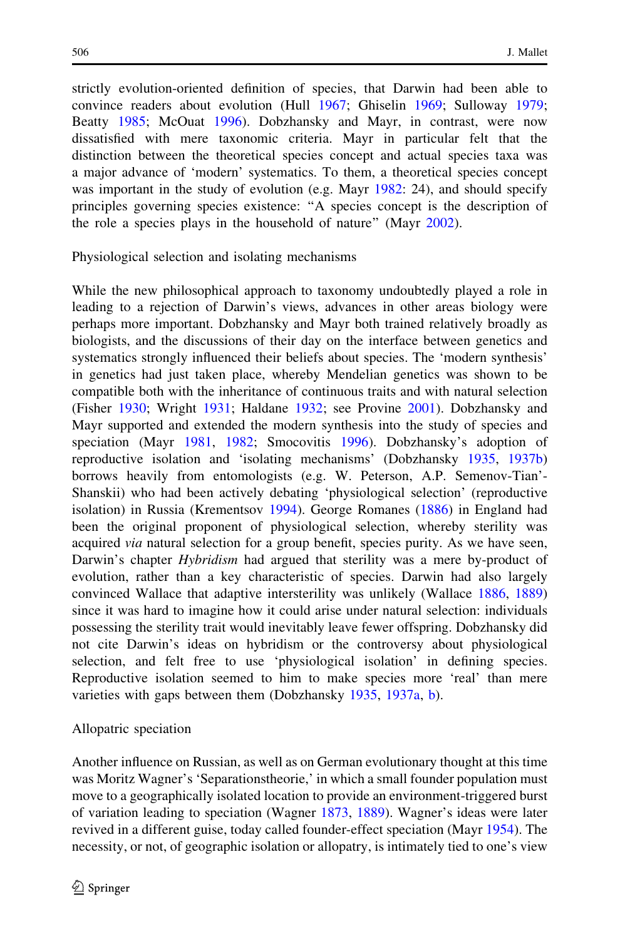strictly evolution-oriented definition of species, that Darwin had been able to convince readers about evolution (Hull [1967;](#page-28-0) Ghiselin [1969;](#page-27-0) Sulloway [1979;](#page-30-0) Beatty [1985](#page-26-0); McOuat [1996\)](#page-29-0). Dobzhansky and Mayr, in contrast, were now dissatisfied with mere taxonomic criteria. Mayr in particular felt that the distinction between the theoretical species concept and actual species taxa was a major advance of 'modern' systematics. To them, a theoretical species concept was important in the study of evolution (e.g. Mayr [1982](#page-29-0): 24), and should specify principles governing species existence: ''A species concept is the description of the role a species plays in the household of nature'' (Mayr [2002](#page-29-0)).

### Physiological selection and isolating mechanisms

While the new philosophical approach to taxonomy undoubtedly played a role in leading to a rejection of Darwin's views, advances in other areas biology were perhaps more important. Dobzhansky and Mayr both trained relatively broadly as biologists, and the discussions of their day on the interface between genetics and systematics strongly influenced their beliefs about species. The 'modern synthesis' in genetics had just taken place, whereby Mendelian genetics was shown to be compatible both with the inheritance of continuous traits and with natural selection (Fisher [1930;](#page-27-0) Wright [1931;](#page-30-0) Haldane [1932](#page-28-0); see Provine [2001](#page-29-0)). Dobzhansky and Mayr supported and extended the modern synthesis into the study of species and speciation (Mayr [1981](#page-29-0), [1982;](#page-29-0) Smocovitis [1996](#page-29-0)). Dobzhansky's adoption of reproductive isolation and 'isolating mechanisms' (Dobzhansky [1935](#page-27-0), [1937b](#page-27-0)) borrows heavily from entomologists (e.g. W. Peterson, A.P. Semenov-Tian'- Shanskii) who had been actively debating 'physiological selection' (reproductive isolation) in Russia (Krementsov [1994\)](#page-28-0). George Romanes ([1886\)](#page-29-0) in England had been the original proponent of physiological selection, whereby sterility was acquired via natural selection for a group benefit, species purity. As we have seen, Darwin's chapter *Hybridism* had argued that sterility was a mere by-product of evolution, rather than a key characteristic of species. Darwin had also largely convinced Wallace that adaptive intersterility was unlikely (Wallace [1886,](#page-30-0) [1889](#page-30-0)) since it was hard to imagine how it could arise under natural selection: individuals possessing the sterility trait would inevitably leave fewer offspring. Dobzhansky did not cite Darwin's ideas on hybridism or the controversy about physiological selection, and felt free to use 'physiological isolation' in defining species. Reproductive isolation seemed to him to make species more 'real' than mere varieties with gaps between them (Dobzhansky [1935,](#page-27-0) [1937a,](#page-27-0) [b\)](#page-27-0).

## Allopatric speciation

Another influence on Russian, as well as on German evolutionary thought at this time was Moritz Wagner's 'Separationstheorie,' in which a small founder population must move to a geographically isolated location to provide an environment-triggered burst of variation leading to speciation (Wagner [1873](#page-30-0), [1889\)](#page-30-0). Wagner's ideas were later revived in a different guise, today called founder-effect speciation (Mayr [1954\)](#page-28-0). The necessity, or not, of geographic isolation or allopatry, is intimately tied to one's view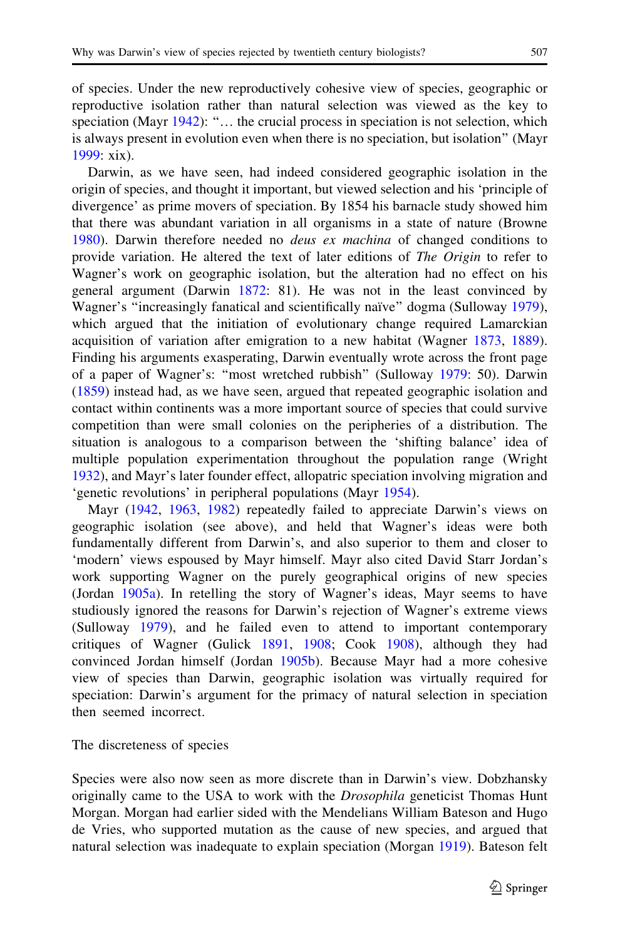of species. Under the new reproductively cohesive view of species, geographic or reproductive isolation rather than natural selection was viewed as the key to speciation (Mayr [1942\)](#page-28-0): "... the crucial process in speciation is not selection, which is always present in evolution even when there is no speciation, but isolation'' (Mayr [1999:](#page-29-0) xix).

Darwin, as we have seen, had indeed considered geographic isolation in the origin of species, and thought it important, but viewed selection and his 'principle of divergence' as prime movers of speciation. By 1854 his barnacle study showed him that there was abundant variation in all organisms in a state of nature (Browne [1980\)](#page-26-0). Darwin therefore needed no *deus ex machina* of changed conditions to provide variation. He altered the text of later editions of The Origin to refer to Wagner's work on geographic isolation, but the alteration had no effect on his general argument (Darwin [1872:](#page-27-0) 81). He was not in the least convinced by Wagner's "increasingly fanatical and scientifically naïve" dogma (Sulloway [1979\)](#page-30-0), which argued that the initiation of evolutionary change required Lamarckian acquisition of variation after emigration to a new habitat (Wagner [1873,](#page-30-0) [1889\)](#page-30-0). Finding his arguments exasperating, Darwin eventually wrote across the front page of a paper of Wagner's: ''most wretched rubbish'' (Sulloway [1979](#page-30-0): 50). Darwin [\(1859](#page-27-0)) instead had, as we have seen, argued that repeated geographic isolation and contact within continents was a more important source of species that could survive competition than were small colonies on the peripheries of a distribution. The situation is analogous to a comparison between the 'shifting balance' idea of multiple population experimentation throughout the population range (Wright [1932\)](#page-30-0), and Mayr's later founder effect, allopatric speciation involving migration and 'genetic revolutions' in peripheral populations (Mayr [1954\)](#page-28-0).

Mayr [\(1942](#page-28-0), [1963](#page-28-0), [1982\)](#page-29-0) repeatedly failed to appreciate Darwin's views on geographic isolation (see above), and held that Wagner's ideas were both fundamentally different from Darwin's, and also superior to them and closer to 'modern' views espoused by Mayr himself. Mayr also cited David Starr Jordan's work supporting Wagner on the purely geographical origins of new species (Jordan [1905a](#page-28-0)). In retelling the story of Wagner's ideas, Mayr seems to have studiously ignored the reasons for Darwin's rejection of Wagner's extreme views (Sulloway [1979](#page-30-0)), and he failed even to attend to important contemporary critiques of Wagner (Gulick [1891](#page-27-0), [1908;](#page-28-0) Cook [1908\)](#page-26-0), although they had convinced Jordan himself (Jordan [1905b](#page-28-0)). Because Mayr had a more cohesive view of species than Darwin, geographic isolation was virtually required for speciation: Darwin's argument for the primacy of natural selection in speciation then seemed incorrect.

The discreteness of species

Species were also now seen as more discrete than in Darwin's view. Dobzhansky originally came to the USA to work with the *Drosophila* geneticist Thomas Hunt Morgan. Morgan had earlier sided with the Mendelians William Bateson and Hugo de Vries, who supported mutation as the cause of new species, and argued that natural selection was inadequate to explain speciation (Morgan [1919\)](#page-29-0). Bateson felt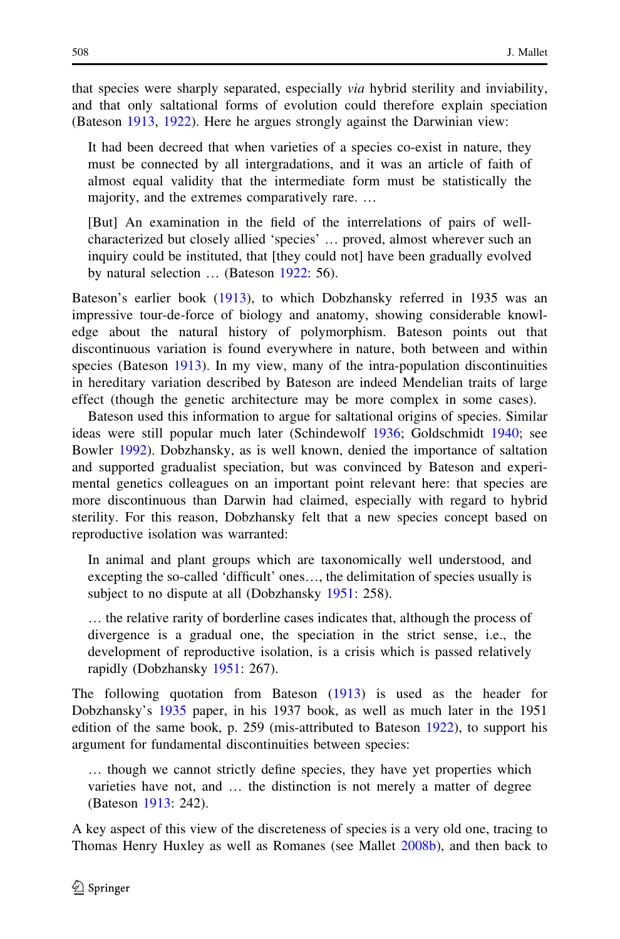that species were sharply separated, especially via hybrid sterility and inviability, and that only saltational forms of evolution could therefore explain speciation (Bateson [1913,](#page-26-0) [1922\)](#page-26-0). Here he argues strongly against the Darwinian view:

It had been decreed that when varieties of a species co-exist in nature, they must be connected by all intergradations, and it was an article of faith of almost equal validity that the intermediate form must be statistically the majority, and the extremes comparatively rare. …

[But] An examination in the field of the interrelations of pairs of wellcharacterized but closely allied 'species' … proved, almost wherever such an inquiry could be instituted, that [they could not] have been gradually evolved by natural selection … (Bateson [1922:](#page-26-0) 56).

Bateson's earlier book ([1913\)](#page-26-0), to which Dobzhansky referred in 1935 was an impressive tour-de-force of biology and anatomy, showing considerable knowledge about the natural history of polymorphism. Bateson points out that discontinuous variation is found everywhere in nature, both between and within species (Bateson [1913](#page-26-0)). In my view, many of the intra-population discontinuities in hereditary variation described by Bateson are indeed Mendelian traits of large effect (though the genetic architecture may be more complex in some cases).

Bateson used this information to argue for saltational origins of species. Similar ideas were still popular much later (Schindewolf [1936](#page-29-0); Goldschmidt [1940;](#page-27-0) see Bowler [1992](#page-26-0)). Dobzhansky, as is well known, denied the importance of saltation and supported gradualist speciation, but was convinced by Bateson and experimental genetics colleagues on an important point relevant here: that species are more discontinuous than Darwin had claimed, especially with regard to hybrid sterility. For this reason, Dobzhansky felt that a new species concept based on reproductive isolation was warranted:

In animal and plant groups which are taxonomically well understood, and excepting the so-called 'difficult' ones…, the delimitation of species usually is subject to no dispute at all (Dobzhansky [1951](#page-27-0): 258).

… the relative rarity of borderline cases indicates that, although the process of divergence is a gradual one, the speciation in the strict sense, i.e., the development of reproductive isolation, is a crisis which is passed relatively rapidly (Dobzhansky [1951:](#page-27-0) 267).

The following quotation from Bateson ([1913\)](#page-26-0) is used as the header for Dobzhansky's [1935](#page-27-0) paper, in his 1937 book, as well as much later in the 1951 edition of the same book, p. 259 (mis-attributed to Bateson [1922\)](#page-26-0), to support his argument for fundamental discontinuities between species:

… though we cannot strictly define species, they have yet properties which varieties have not, and … the distinction is not merely a matter of degree (Bateson [1913](#page-26-0): 242).

A key aspect of this view of the discreteness of species is a very old one, tracing to Thomas Henry Huxley as well as Romanes (see Mallet [2008b](#page-28-0)), and then back to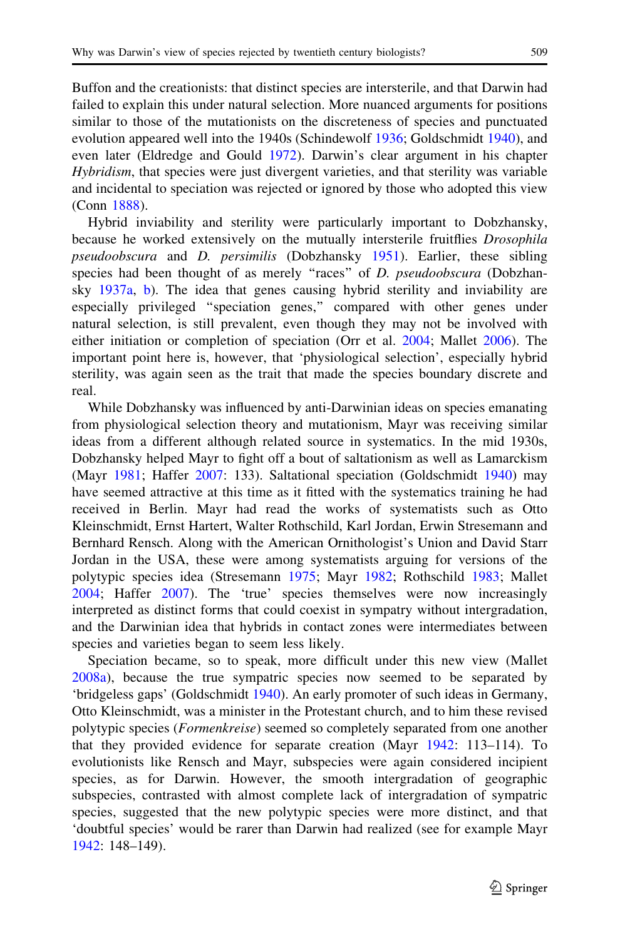Buffon and the creationists: that distinct species are intersterile, and that Darwin had failed to explain this under natural selection. More nuanced arguments for positions similar to those of the mutationists on the discreteness of species and punctuated evolution appeared well into the 1940s (Schindewolf [1936;](#page-29-0) Goldschmidt [1940](#page-27-0)), and even later (Eldredge and Gould [1972\)](#page-27-0). Darwin's clear argument in his chapter Hybridism, that species were just divergent varieties, and that sterility was variable and incidental to speciation was rejected or ignored by those who adopted this view (Conn [1888](#page-26-0)).

Hybrid inviability and sterility were particularly important to Dobzhansky, because he worked extensively on the mutually intersterile fruitflies Drosophila pseudoobscura and D. persimilis (Dobzhansky [1951\)](#page-27-0). Earlier, these sibling species had been thought of as merely "races" of D. pseudoobscura (Dobzhansky [1937a](#page-27-0), [b\)](#page-27-0). The idea that genes causing hybrid sterility and inviability are especially privileged ''speciation genes,'' compared with other genes under natural selection, is still prevalent, even though they may not be involved with either initiation or completion of speciation (Orr et al. [2004](#page-29-0); Mallet [2006\)](#page-28-0). The important point here is, however, that 'physiological selection', especially hybrid sterility, was again seen as the trait that made the species boundary discrete and real.

While Dobzhansky was influenced by anti-Darwinian ideas on species emanating from physiological selection theory and mutationism, Mayr was receiving similar ideas from a different although related source in systematics. In the mid 1930s, Dobzhansky helped Mayr to fight off a bout of saltationism as well as Lamarckism (Mayr [1981](#page-29-0); Haffer [2007](#page-28-0): 133). Saltational speciation (Goldschmidt [1940](#page-27-0)) may have seemed attractive at this time as it fitted with the systematics training he had received in Berlin. Mayr had read the works of systematists such as Otto Kleinschmidt, Ernst Hartert, Walter Rothschild, Karl Jordan, Erwin Stresemann and Bernhard Rensch. Along with the American Ornithologist's Union and David Starr Jordan in the USA, these were among systematists arguing for versions of the polytypic species idea (Stresemann [1975](#page-30-0); Mayr [1982](#page-29-0); Rothschild [1983](#page-29-0); Mallet [2004;](#page-28-0) Haffer [2007](#page-28-0)). The 'true' species themselves were now increasingly interpreted as distinct forms that could coexist in sympatry without intergradation, and the Darwinian idea that hybrids in contact zones were intermediates between species and varieties began to seem less likely.

Speciation became, so to speak, more difficult under this new view (Mallet [2008a](#page-28-0)), because the true sympatric species now seemed to be separated by 'bridgeless gaps' (Goldschmidt [1940\)](#page-27-0). An early promoter of such ideas in Germany, Otto Kleinschmidt, was a minister in the Protestant church, and to him these revised polytypic species (Formenkreise) seemed so completely separated from one another that they provided evidence for separate creation (Mayr [1942](#page-28-0): 113–114). To evolutionists like Rensch and Mayr, subspecies were again considered incipient species, as for Darwin. However, the smooth intergradation of geographic subspecies, contrasted with almost complete lack of intergradation of sympatric species, suggested that the new polytypic species were more distinct, and that 'doubtful species' would be rarer than Darwin had realized (see for example Mayr [1942:](#page-28-0) 148–149).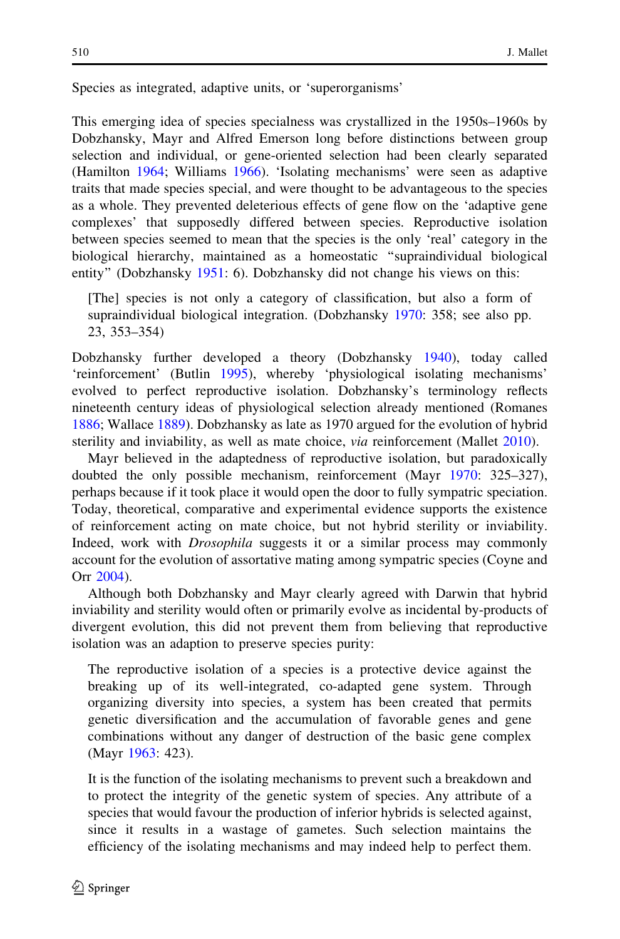Species as integrated, adaptive units, or 'superorganisms'

This emerging idea of species specialness was crystallized in the 1950s–1960s by Dobzhansky, Mayr and Alfred Emerson long before distinctions between group selection and individual, or gene-oriented selection had been clearly separated (Hamilton [1964;](#page-28-0) Williams [1966](#page-30-0)). 'Isolating mechanisms' were seen as adaptive traits that made species special, and were thought to be advantageous to the species as a whole. They prevented deleterious effects of gene flow on the 'adaptive gene complexes' that supposedly differed between species. Reproductive isolation between species seemed to mean that the species is the only 'real' category in the biological hierarchy, maintained as a homeostatic ''supraindividual biological entity" (Dobzhansky [1951](#page-27-0): 6). Dobzhansky did not change his views on this:

[The] species is not only a category of classification, but also a form of supraindividual biological integration. (Dobzhansky [1970:](#page-27-0) 358; see also pp. 23, 353–354)

Dobzhansky further developed a theory (Dobzhansky [1940](#page-27-0)), today called 'reinforcement' (Butlin [1995](#page-26-0)), whereby 'physiological isolating mechanisms' evolved to perfect reproductive isolation. Dobzhansky's terminology reflects nineteenth century ideas of physiological selection already mentioned (Romanes [1886;](#page-29-0) Wallace [1889\)](#page-30-0). Dobzhansky as late as 1970 argued for the evolution of hybrid sterility and inviability, as well as mate choice, *via* reinforcement (Mallet [2010\)](#page-28-0).

Mayr believed in the adaptedness of reproductive isolation, but paradoxically doubted the only possible mechanism, reinforcement (Mayr [1970:](#page-29-0) 325–327), perhaps because if it took place it would open the door to fully sympatric speciation. Today, theoretical, comparative and experimental evidence supports the existence of reinforcement acting on mate choice, but not hybrid sterility or inviability. Indeed, work with Drosophila suggests it or a similar process may commonly account for the evolution of assortative mating among sympatric species (Coyne and Orr [2004](#page-27-0)).

Although both Dobzhansky and Mayr clearly agreed with Darwin that hybrid inviability and sterility would often or primarily evolve as incidental by-products of divergent evolution, this did not prevent them from believing that reproductive isolation was an adaption to preserve species purity:

The reproductive isolation of a species is a protective device against the breaking up of its well-integrated, co-adapted gene system. Through organizing diversity into species, a system has been created that permits genetic diversification and the accumulation of favorable genes and gene combinations without any danger of destruction of the basic gene complex (Mayr [1963:](#page-28-0) 423).

It is the function of the isolating mechanisms to prevent such a breakdown and to protect the integrity of the genetic system of species. Any attribute of a species that would favour the production of inferior hybrids is selected against, since it results in a wastage of gametes. Such selection maintains the efficiency of the isolating mechanisms and may indeed help to perfect them.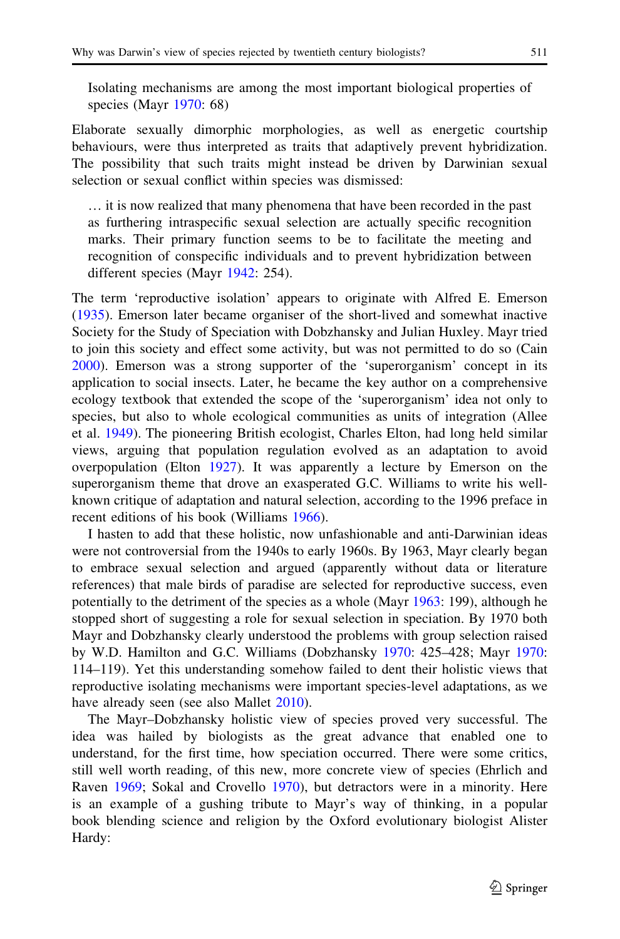Isolating mechanisms are among the most important biological properties of species (Mayr [1970:](#page-29-0) 68)

Elaborate sexually dimorphic morphologies, as well as energetic courtship behaviours, were thus interpreted as traits that adaptively prevent hybridization. The possibility that such traits might instead be driven by Darwinian sexual selection or sexual conflict within species was dismissed:

… it is now realized that many phenomena that have been recorded in the past as furthering intraspecific sexual selection are actually specific recognition marks. Their primary function seems to be to facilitate the meeting and recognition of conspecific individuals and to prevent hybridization between different species (Mayr [1942:](#page-28-0) 254).

The term 'reproductive isolation' appears to originate with Alfred E. Emerson [\(1935](#page-27-0)). Emerson later became organiser of the short-lived and somewhat inactive Society for the Study of Speciation with Dobzhansky and Julian Huxley. Mayr tried to join this society and effect some activity, but was not permitted to do so (Cain [2000\)](#page-26-0). Emerson was a strong supporter of the 'superorganism' concept in its application to social insects. Later, he became the key author on a comprehensive ecology textbook that extended the scope of the 'superorganism' idea not only to species, but also to whole ecological communities as units of integration (Allee et al. [1949](#page-26-0)). The pioneering British ecologist, Charles Elton, had long held similar views, arguing that population regulation evolved as an adaptation to avoid overpopulation (Elton [1927\)](#page-27-0). It was apparently a lecture by Emerson on the superorganism theme that drove an exasperated G.C. Williams to write his wellknown critique of adaptation and natural selection, according to the 1996 preface in recent editions of his book (Williams [1966](#page-30-0)).

I hasten to add that these holistic, now unfashionable and anti-Darwinian ideas were not controversial from the 1940s to early 1960s. By 1963, Mayr clearly began to embrace sexual selection and argued (apparently without data or literature references) that male birds of paradise are selected for reproductive success, even potentially to the detriment of the species as a whole (Mayr [1963](#page-28-0): 199), although he stopped short of suggesting a role for sexual selection in speciation. By 1970 both Mayr and Dobzhansky clearly understood the problems with group selection raised by W.D. Hamilton and G.C. Williams (Dobzhansky [1970:](#page-27-0) 425–428; Mayr [1970:](#page-29-0) 114–119). Yet this understanding somehow failed to dent their holistic views that reproductive isolating mechanisms were important species-level adaptations, as we have already seen (see also Mallet [2010\)](#page-28-0).

The Mayr–Dobzhansky holistic view of species proved very successful. The idea was hailed by biologists as the great advance that enabled one to understand, for the first time, how speciation occurred. There were some critics, still well worth reading, of this new, more concrete view of species (Ehrlich and Raven [1969;](#page-27-0) Sokal and Crovello [1970\)](#page-29-0), but detractors were in a minority. Here is an example of a gushing tribute to Mayr's way of thinking, in a popular book blending science and religion by the Oxford evolutionary biologist Alister Hardy: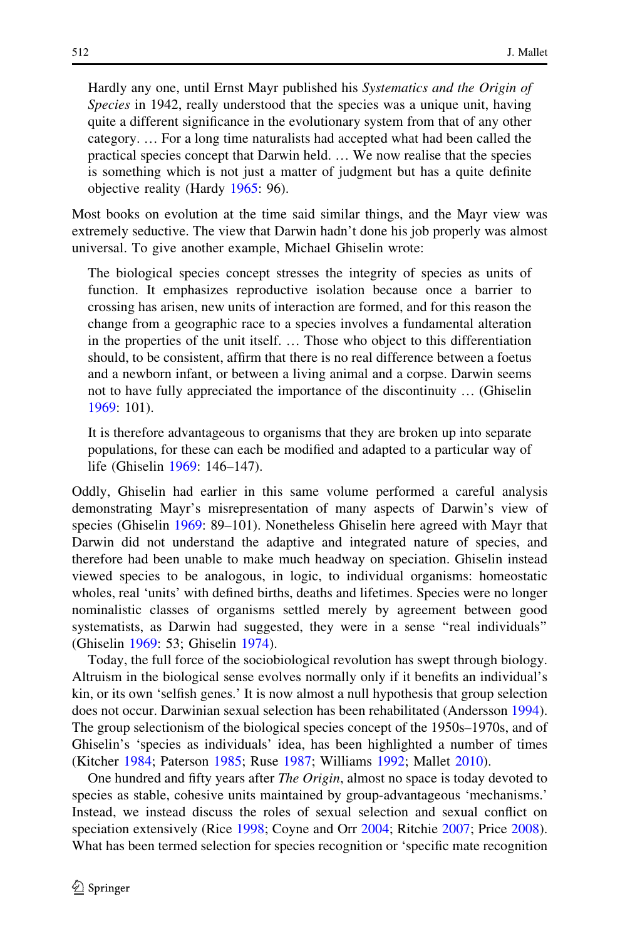Hardly any one, until Ernst Mayr published his Systematics and the Origin of Species in 1942, really understood that the species was a unique unit, having quite a different significance in the evolutionary system from that of any other category. … For a long time naturalists had accepted what had been called the practical species concept that Darwin held. … We now realise that the species is something which is not just a matter of judgment but has a quite definite objective reality (Hardy [1965](#page-28-0): 96).

Most books on evolution at the time said similar things, and the Mayr view was extremely seductive. The view that Darwin hadn't done his job properly was almost universal. To give another example, Michael Ghiselin wrote:

The biological species concept stresses the integrity of species as units of function. It emphasizes reproductive isolation because once a barrier to crossing has arisen, new units of interaction are formed, and for this reason the change from a geographic race to a species involves a fundamental alteration in the properties of the unit itself. … Those who object to this differentiation should, to be consistent, affirm that there is no real difference between a foetus and a newborn infant, or between a living animal and a corpse. Darwin seems not to have fully appreciated the importance of the discontinuity … (Ghiselin [1969](#page-27-0): 101).

It is therefore advantageous to organisms that they are broken up into separate populations, for these can each be modified and adapted to a particular way of life (Ghiselin [1969:](#page-27-0) 146–147).

Oddly, Ghiselin had earlier in this same volume performed a careful analysis demonstrating Mayr's misrepresentation of many aspects of Darwin's view of species (Ghiselin [1969](#page-27-0): 89–101). Nonetheless Ghiselin here agreed with Mayr that Darwin did not understand the adaptive and integrated nature of species, and therefore had been unable to make much headway on speciation. Ghiselin instead viewed species to be analogous, in logic, to individual organisms: homeostatic wholes, real 'units' with defined births, deaths and lifetimes. Species were no longer nominalistic classes of organisms settled merely by agreement between good systematists, as Darwin had suggested, they were in a sense ''real individuals'' (Ghiselin [1969:](#page-27-0) 53; Ghiselin [1974\)](#page-27-0).

Today, the full force of the sociobiological revolution has swept through biology. Altruism in the biological sense evolves normally only if it benefits an individual's kin, or its own 'selfish genes.' It is now almost a null hypothesis that group selection does not occur. Darwinian sexual selection has been rehabilitated (Andersson [1994\)](#page-26-0). The group selectionism of the biological species concept of the 1950s–1970s, and of Ghiselin's 'species as individuals' idea, has been highlighted a number of times (Kitcher [1984;](#page-28-0) Paterson [1985](#page-29-0); Ruse [1987;](#page-29-0) Williams [1992](#page-30-0); Mallet [2010\)](#page-28-0).

One hundred and fifty years after *The Origin*, almost no space is today devoted to species as stable, cohesive units maintained by group-advantageous 'mechanisms.' Instead, we instead discuss the roles of sexual selection and sexual conflict on speciation extensively (Rice [1998;](#page-29-0) Coyne and Orr [2004](#page-27-0); Ritchie [2007](#page-29-0); Price [2008\)](#page-29-0). What has been termed selection for species recognition or 'specific mate recognition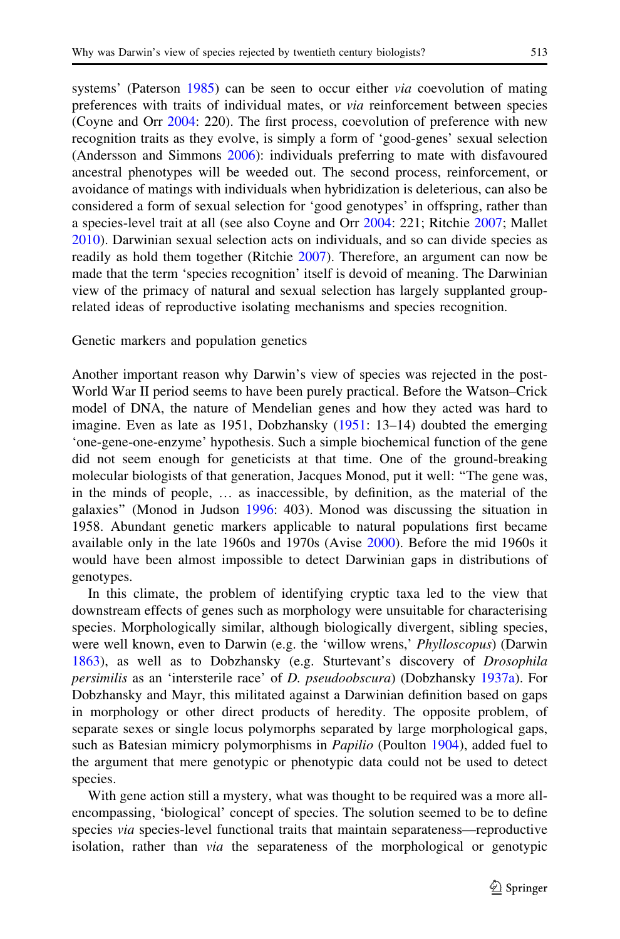systems' (Paterson [1985](#page-29-0)) can be seen to occur either *via* coevolution of mating preferences with traits of individual mates, or via reinforcement between species (Coyne and Orr [2004:](#page-27-0) 220). The first process, coevolution of preference with new recognition traits as they evolve, is simply a form of 'good-genes' sexual selection (Andersson and Simmons [2006](#page-26-0)): individuals preferring to mate with disfavoured ancestral phenotypes will be weeded out. The second process, reinforcement, or avoidance of matings with individuals when hybridization is deleterious, can also be considered a form of sexual selection for 'good genotypes' in offspring, rather than a species-level trait at all (see also Coyne and Orr [2004:](#page-27-0) 221; Ritchie [2007](#page-29-0); Mallet [2010\)](#page-28-0). Darwinian sexual selection acts on individuals, and so can divide species as readily as hold them together (Ritchie [2007](#page-29-0)). Therefore, an argument can now be made that the term 'species recognition' itself is devoid of meaning. The Darwinian view of the primacy of natural and sexual selection has largely supplanted grouprelated ideas of reproductive isolating mechanisms and species recognition.

Genetic markers and population genetics

Another important reason why Darwin's view of species was rejected in the post-World War II period seems to have been purely practical. Before the Watson–Crick model of DNA, the nature of Mendelian genes and how they acted was hard to imagine. Even as late as 1951, Dobzhansky ([1951:](#page-27-0) 13–14) doubted the emerging 'one-gene-one-enzyme' hypothesis. Such a simple biochemical function of the gene did not seem enough for geneticists at that time. One of the ground-breaking molecular biologists of that generation, Jacques Monod, put it well: ''The gene was, in the minds of people, … as inaccessible, by definition, as the material of the galaxies'' (Monod in Judson [1996](#page-28-0): 403). Monod was discussing the situation in 1958. Abundant genetic markers applicable to natural populations first became available only in the late 1960s and 1970s (Avise [2000](#page-26-0)). Before the mid 1960s it would have been almost impossible to detect Darwinian gaps in distributions of genotypes.

In this climate, the problem of identifying cryptic taxa led to the view that downstream effects of genes such as morphology were unsuitable for characterising species. Morphologically similar, although biologically divergent, sibling species, were well known, even to Darwin (e.g. the 'willow wrens,' *Phylloscopus*) (Darwin [1863\)](#page-27-0), as well as to Dobzhansky (e.g. Sturtevant's discovery of Drosophila persimilis as an 'intersterile race' of D. pseudoobscura) (Dobzhansky [1937a](#page-27-0)). For Dobzhansky and Mayr, this militated against a Darwinian definition based on gaps in morphology or other direct products of heredity. The opposite problem, of separate sexes or single locus polymorphs separated by large morphological gaps, such as Batesian mimicry polymorphisms in *Papilio* (Poulton [1904\)](#page-29-0), added fuel to the argument that mere genotypic or phenotypic data could not be used to detect species.

With gene action still a mystery, what was thought to be required was a more allencompassing, 'biological' concept of species. The solution seemed to be to define species *via* species-level functional traits that maintain separateness—reproductive isolation, rather than *via* the separateness of the morphological or genotypic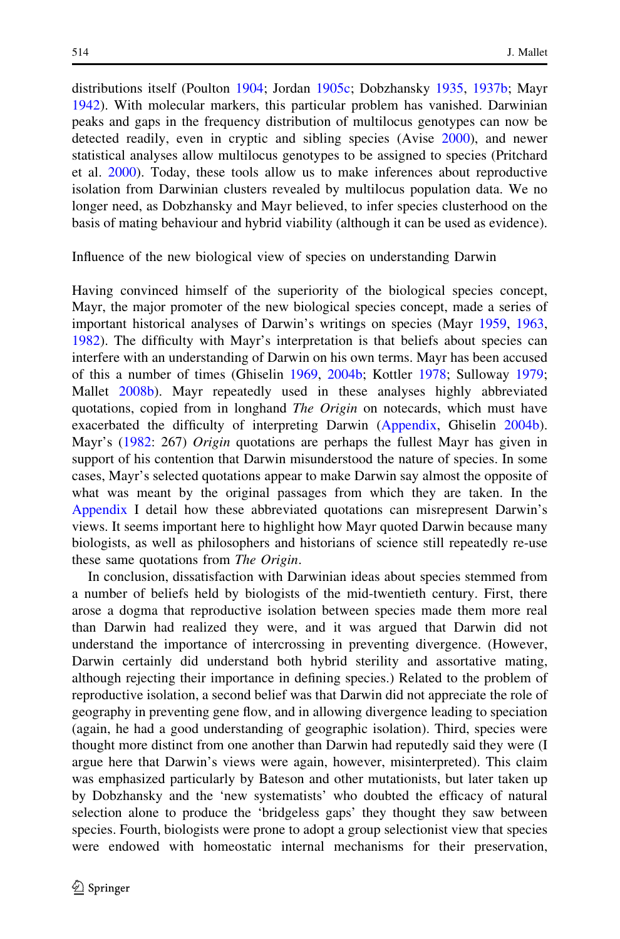distributions itself (Poulton [1904;](#page-29-0) Jordan [1905c](#page-28-0); Dobzhansky [1935,](#page-27-0) [1937b](#page-27-0); Mayr [1942\)](#page-28-0). With molecular markers, this particular problem has vanished. Darwinian peaks and gaps in the frequency distribution of multilocus genotypes can now be detected readily, even in cryptic and sibling species (Avise [2000](#page-26-0)), and newer statistical analyses allow multilocus genotypes to be assigned to species (Pritchard et al. [2000\)](#page-29-0). Today, these tools allow us to make inferences about reproductive isolation from Darwinian clusters revealed by multilocus population data. We no longer need, as Dobzhansky and Mayr believed, to infer species clusterhood on the basis of mating behaviour and hybrid viability (although it can be used as evidence).

Influence of the new biological view of species on understanding Darwin

Having convinced himself of the superiority of the biological species concept, Mayr, the major promoter of the new biological species concept, made a series of important historical analyses of Darwin's writings on species (Mayr [1959](#page-28-0), [1963,](#page-28-0) [1982\)](#page-29-0). The difficulty with Mayr's interpretation is that beliefs about species can interfere with an understanding of Darwin on his own terms. Mayr has been accused of this a number of times (Ghiselin [1969](#page-27-0), [2004b](#page-27-0); Kottler [1978;](#page-28-0) Sulloway [1979;](#page-30-0) Mallet [2008b](#page-28-0)). Mayr repeatedly used in these analyses highly abbreviated quotations, copied from in longhand *The Origin* on notecards, which must have exacerbated the difficulty of interpreting Darwin [\(Appendix,](#page-20-0) Ghiselin [2004b\)](#page-27-0). Mayr's [\(1982](#page-29-0): 267) *Origin* quotations are perhaps the fullest Mayr has given in support of his contention that Darwin misunderstood the nature of species. In some cases, Mayr's selected quotations appear to make Darwin say almost the opposite of what was meant by the original passages from which they are taken. In the [Appendix](#page-20-0) I detail how these abbreviated quotations can misrepresent Darwin's views. It seems important here to highlight how Mayr quoted Darwin because many biologists, as well as philosophers and historians of science still repeatedly re-use these same quotations from The Origin.

In conclusion, dissatisfaction with Darwinian ideas about species stemmed from a number of beliefs held by biologists of the mid-twentieth century. First, there arose a dogma that reproductive isolation between species made them more real than Darwin had realized they were, and it was argued that Darwin did not understand the importance of intercrossing in preventing divergence. (However, Darwin certainly did understand both hybrid sterility and assortative mating, although rejecting their importance in defining species.) Related to the problem of reproductive isolation, a second belief was that Darwin did not appreciate the role of geography in preventing gene flow, and in allowing divergence leading to speciation (again, he had a good understanding of geographic isolation). Third, species were thought more distinct from one another than Darwin had reputedly said they were (I argue here that Darwin's views were again, however, misinterpreted). This claim was emphasized particularly by Bateson and other mutationists, but later taken up by Dobzhansky and the 'new systematists' who doubted the efficacy of natural selection alone to produce the 'bridgeless gaps' they thought they saw between species. Fourth, biologists were prone to adopt a group selectionist view that species were endowed with homeostatic internal mechanisms for their preservation,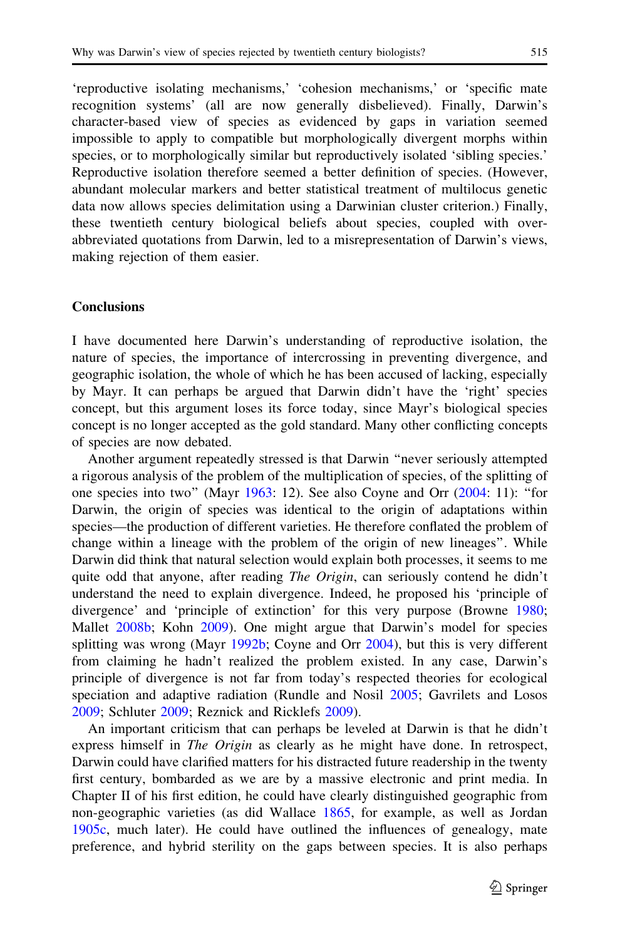'reproductive isolating mechanisms,' 'cohesion mechanisms,' or 'specific mate recognition systems' (all are now generally disbelieved). Finally, Darwin's character-based view of species as evidenced by gaps in variation seemed impossible to apply to compatible but morphologically divergent morphs within species, or to morphologically similar but reproductively isolated 'sibling species.' Reproductive isolation therefore seemed a better definition of species. (However, abundant molecular markers and better statistical treatment of multilocus genetic data now allows species delimitation using a Darwinian cluster criterion.) Finally, these twentieth century biological beliefs about species, coupled with overabbreviated quotations from Darwin, led to a misrepresentation of Darwin's views, making rejection of them easier.

### Conclusions

I have documented here Darwin's understanding of reproductive isolation, the nature of species, the importance of intercrossing in preventing divergence, and geographic isolation, the whole of which he has been accused of lacking, especially by Mayr. It can perhaps be argued that Darwin didn't have the 'right' species concept, but this argument loses its force today, since Mayr's biological species concept is no longer accepted as the gold standard. Many other conflicting concepts of species are now debated.

Another argument repeatedly stressed is that Darwin ''never seriously attempted a rigorous analysis of the problem of the multiplication of species, of the splitting of one species into two'' (Mayr [1963](#page-28-0): 12). See also Coyne and Orr [\(2004](#page-27-0): 11): ''for Darwin, the origin of species was identical to the origin of adaptations within species—the production of different varieties. He therefore conflated the problem of change within a lineage with the problem of the origin of new lineages''. While Darwin did think that natural selection would explain both processes, it seems to me quite odd that anyone, after reading *The Origin*, can seriously contend he didn't understand the need to explain divergence. Indeed, he proposed his 'principle of divergence' and 'principle of extinction' for this very purpose (Browne [1980;](#page-26-0) Mallet [2008b](#page-28-0); Kohn [2009](#page-28-0)). One might argue that Darwin's model for species splitting was wrong (Mayr [1992b](#page-29-0); Coyne and Orr [2004](#page-27-0)), but this is very different from claiming he hadn't realized the problem existed. In any case, Darwin's principle of divergence is not far from today's respected theories for ecological speciation and adaptive radiation (Rundle and Nosil [2005;](#page-29-0) Gavrilets and Losos [2009;](#page-27-0) Schluter [2009;](#page-29-0) Reznick and Ricklefs [2009\)](#page-29-0).

An important criticism that can perhaps be leveled at Darwin is that he didn't express himself in *The Origin* as clearly as he might have done. In retrospect, Darwin could have clarified matters for his distracted future readership in the twenty first century, bombarded as we are by a massive electronic and print media. In Chapter II of his first edition, he could have clearly distinguished geographic from non-geographic varieties (as did Wallace [1865,](#page-30-0) for example, as well as Jordan [1905c](#page-28-0), much later). He could have outlined the influences of genealogy, mate preference, and hybrid sterility on the gaps between species. It is also perhaps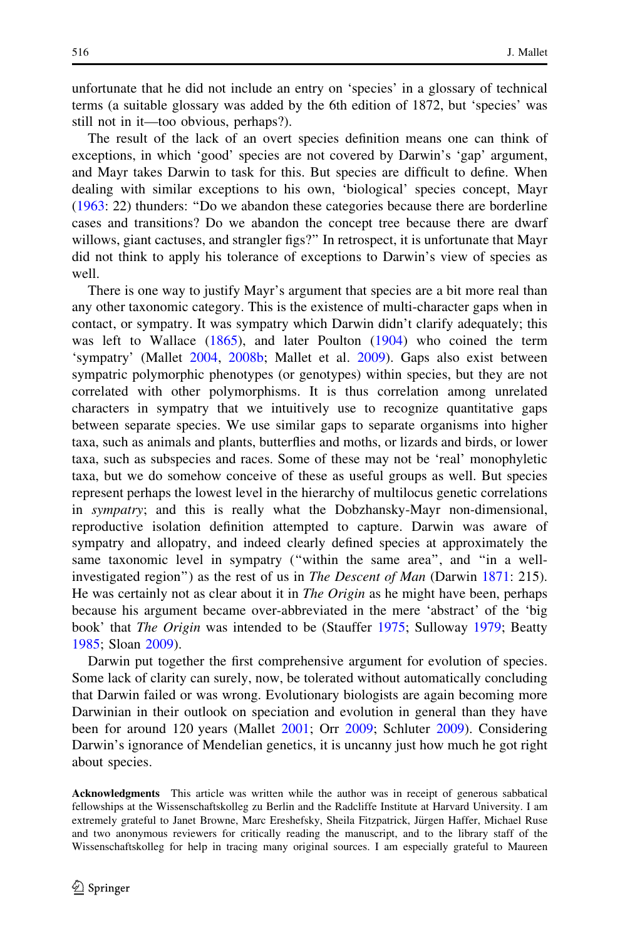unfortunate that he did not include an entry on 'species' in a glossary of technical terms (a suitable glossary was added by the 6th edition of 1872, but 'species' was still not in it—too obvious, perhaps?).

The result of the lack of an overt species definition means one can think of exceptions, in which 'good' species are not covered by Darwin's 'gap' argument, and Mayr takes Darwin to task for this. But species are difficult to define. When dealing with similar exceptions to his own, 'biological' species concept, Mayr [\(1963](#page-28-0): 22) thunders: ''Do we abandon these categories because there are borderline cases and transitions? Do we abandon the concept tree because there are dwarf willows, giant cactuses, and strangler figs?'' In retrospect, it is unfortunate that Mayr did not think to apply his tolerance of exceptions to Darwin's view of species as well.

There is one way to justify Mayr's argument that species are a bit more real than any other taxonomic category. This is the existence of multi-character gaps when in contact, or sympatry. It was sympatry which Darwin didn't clarify adequately; this was left to Wallace ([1865\)](#page-30-0), and later Poulton ([1904\)](#page-29-0) who coined the term 'sympatry' (Mallet [2004,](#page-28-0) [2008b](#page-28-0); Mallet et al. [2009](#page-28-0)). Gaps also exist between sympatric polymorphic phenotypes (or genotypes) within species, but they are not correlated with other polymorphisms. It is thus correlation among unrelated characters in sympatry that we intuitively use to recognize quantitative gaps between separate species. We use similar gaps to separate organisms into higher taxa, such as animals and plants, butterflies and moths, or lizards and birds, or lower taxa, such as subspecies and races. Some of these may not be 'real' monophyletic taxa, but we do somehow conceive of these as useful groups as well. But species represent perhaps the lowest level in the hierarchy of multilocus genetic correlations in *sympatry*; and this is really what the Dobzhansky-Mayr non-dimensional, reproductive isolation definition attempted to capture. Darwin was aware of sympatry and allopatry, and indeed clearly defined species at approximately the same taxonomic level in sympatry (''within the same area'', and ''in a wellinvestigated region") as the rest of us in *The Descent of Man* (Darwin [1871:](#page-27-0) 215). He was certainly not as clear about it in *The Origin* as he might have been, perhaps because his argument became over-abbreviated in the mere 'abstract' of the 'big book' that The Origin was intended to be (Stauffer [1975;](#page-30-0) Sulloway [1979;](#page-30-0) Beatty [1985;](#page-26-0) Sloan [2009](#page-29-0)).

Darwin put together the first comprehensive argument for evolution of species. Some lack of clarity can surely, now, be tolerated without automatically concluding that Darwin failed or was wrong. Evolutionary biologists are again becoming more Darwinian in their outlook on speciation and evolution in general than they have been for around 120 years (Mallet [2001;](#page-28-0) Orr [2009;](#page-29-0) Schluter [2009](#page-29-0)). Considering Darwin's ignorance of Mendelian genetics, it is uncanny just how much he got right about species.

Acknowledgments This article was written while the author was in receipt of generous sabbatical fellowships at the Wissenschaftskolleg zu Berlin and the Radcliffe Institute at Harvard University. I am extremely grateful to Janet Browne, Marc Ereshefsky, Sheila Fitzpatrick, Jürgen Haffer, Michael Ruse and two anonymous reviewers for critically reading the manuscript, and to the library staff of the Wissenschaftskolleg for help in tracing many original sources. I am especially grateful to Maureen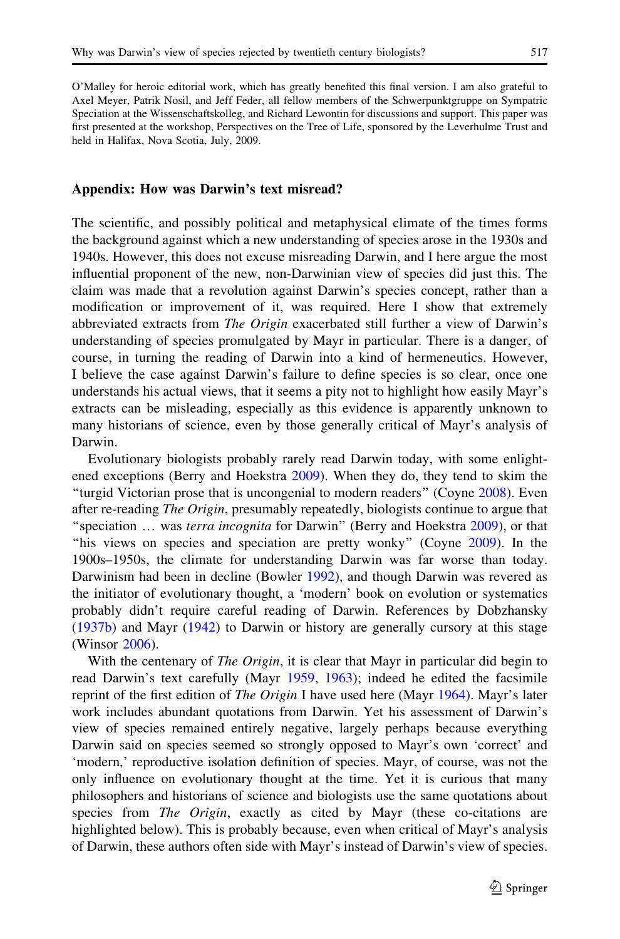<span id="page-20-0"></span>O'Malley for heroic editorial work, which has greatly benefited this final version. I am also grateful to Axel Meyer, Patrik Nosil, and Jeff Feder, all fellow members of the Schwerpunktgruppe on Sympatric Speciation at the Wissenschaftskolleg, and Richard Lewontin for discussions and support. This paper was first presented at the workshop, Perspectives on the Tree of Life, sponsored by the Leverhulme Trust and held in Halifax, Nova Scotia, July, 2009.

### Appendix: How was Darwin's text misread?

The scientific, and possibly political and metaphysical climate of the times forms the background against which a new understanding of species arose in the 1930s and 1940s. However, this does not excuse misreading Darwin, and I here argue the most influential proponent of the new, non-Darwinian view of species did just this. The claim was made that a revolution against Darwin's species concept, rather than a modification or improvement of it, was required. Here I show that extremely abbreviated extracts from *The Origin* exacerbated still further a view of Darwin's understanding of species promulgated by Mayr in particular. There is a danger, of course, in turning the reading of Darwin into a kind of hermeneutics. However, I believe the case against Darwin's failure to define species is so clear, once one understands his actual views, that it seems a pity not to highlight how easily Mayr's extracts can be misleading, especially as this evidence is apparently unknown to many historians of science, even by those generally critical of Mayr's analysis of Darwin.

Evolutionary biologists probably rarely read Darwin today, with some enlightened exceptions (Berry and Hoekstra [2009\)](#page-26-0). When they do, they tend to skim the ''turgid Victorian prose that is uncongenial to modern readers'' (Coyne [2008](#page-27-0)). Even after re-reading The Origin, presumably repeatedly, biologists continue to argue that "speciation ... was terra incognita for Darwin" (Berry and Hoekstra [2009](#page-26-0)), or that "his views on species and speciation are pretty wonky" (Coyne [2009](#page-27-0)). In the 1900s–1950s, the climate for understanding Darwin was far worse than today. Darwinism had been in decline (Bowler [1992](#page-26-0)), and though Darwin was revered as the initiator of evolutionary thought, a 'modern' book on evolution or systematics probably didn't require careful reading of Darwin. References by Dobzhansky [\(1937b](#page-27-0)) and Mayr ([1942\)](#page-28-0) to Darwin or history are generally cursory at this stage (Winsor [2006](#page-30-0)).

With the centenary of *The Origin*, it is clear that Mayr in particular did begin to read Darwin's text carefully (Mayr [1959](#page-28-0), [1963](#page-28-0)); indeed he edited the facsimile reprint of the first edition of *The Origin* I have used here (Mayr [1964](#page-29-0)). Mayr's later work includes abundant quotations from Darwin. Yet his assessment of Darwin's view of species remained entirely negative, largely perhaps because everything Darwin said on species seemed so strongly opposed to Mayr's own 'correct' and 'modern,' reproductive isolation definition of species. Mayr, of course, was not the only influence on evolutionary thought at the time. Yet it is curious that many philosophers and historians of science and biologists use the same quotations about species from The Origin, exactly as cited by Mayr (these co-citations are highlighted below). This is probably because, even when critical of Mayr's analysis of Darwin, these authors often side with Mayr's instead of Darwin's view of species.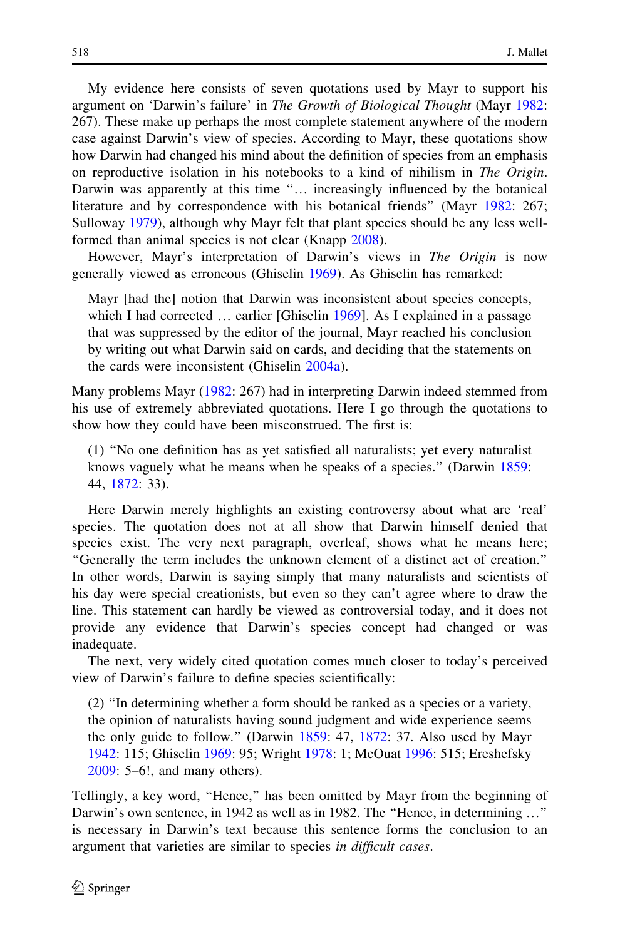My evidence here consists of seven quotations used by Mayr to support his argument on 'Darwin's failure' in The Growth of Biological Thought (Mayr [1982:](#page-29-0) 267). These make up perhaps the most complete statement anywhere of the modern case against Darwin's view of species. According to Mayr, these quotations show how Darwin had changed his mind about the definition of species from an emphasis on reproductive isolation in his notebooks to a kind of nihilism in The Origin. Darwin was apparently at this time ''… increasingly influenced by the botanical literature and by correspondence with his botanical friends'' (Mayr [1982:](#page-29-0) 267; Sulloway [1979\)](#page-30-0), although why Mayr felt that plant species should be any less wellformed than animal species is not clear (Knapp [2008\)](#page-28-0).

However, Mayr's interpretation of Darwin's views in The Origin is now generally viewed as erroneous (Ghiselin [1969\)](#page-27-0). As Ghiselin has remarked:

Mayr [had the] notion that Darwin was inconsistent about species concepts, which I had corrected ... earlier [Ghiselin [1969](#page-27-0)]. As I explained in a passage that was suppressed by the editor of the journal, Mayr reached his conclusion by writing out what Darwin said on cards, and deciding that the statements on the cards were inconsistent (Ghiselin [2004a](#page-27-0)).

Many problems Mayr ([1982](#page-29-0): 267) had in interpreting Darwin indeed stemmed from his use of extremely abbreviated quotations. Here I go through the quotations to show how they could have been misconstrued. The first is:

(1) ''No one definition has as yet satisfied all naturalists; yet every naturalist knows vaguely what he means when he speaks of a species.'' (Darwin [1859](#page-27-0): 44, [1872](#page-27-0): 33).

Here Darwin merely highlights an existing controversy about what are 'real' species. The quotation does not at all show that Darwin himself denied that species exist. The very next paragraph, overleaf, shows what he means here; ''Generally the term includes the unknown element of a distinct act of creation.'' In other words, Darwin is saying simply that many naturalists and scientists of his day were special creationists, but even so they can't agree where to draw the line. This statement can hardly be viewed as controversial today, and it does not provide any evidence that Darwin's species concept had changed or was inadequate.

The next, very widely cited quotation comes much closer to today's perceived view of Darwin's failure to define species scientifically:

(2) ''In determining whether a form should be ranked as a species or a variety, the opinion of naturalists having sound judgment and wide experience seems the only guide to follow.'' (Darwin [1859:](#page-27-0) 47, [1872:](#page-27-0) 37. Also used by Mayr [1942](#page-28-0): 115; Ghiselin [1969](#page-27-0): 95; Wright [1978:](#page-30-0) 1; McOuat [1996:](#page-29-0) 515; Ereshefsky [2009](#page-27-0): 5–6!, and many others).

Tellingly, a key word, "Hence," has been omitted by Mayr from the beginning of Darwin's own sentence, in 1942 as well as in 1982. The "Hence, in determining ..." is necessary in Darwin's text because this sentence forms the conclusion to an argument that varieties are similar to species in difficult cases.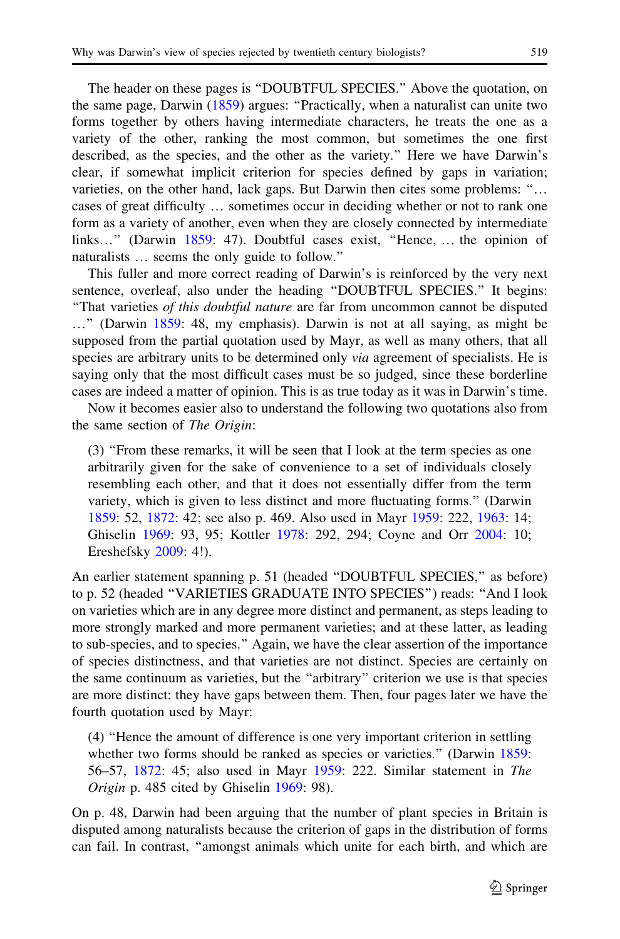The header on these pages is ''DOUBTFUL SPECIES.'' Above the quotation, on the same page, Darwin ([1859\)](#page-27-0) argues: ''Practically, when a naturalist can unite two forms together by others having intermediate characters, he treats the one as a variety of the other, ranking the most common, but sometimes the one first described, as the species, and the other as the variety.'' Here we have Darwin's clear, if somewhat implicit criterion for species defined by gaps in variation; varieties, on the other hand, lack gaps. But Darwin then cites some problems: ''… cases of great difficulty … sometimes occur in deciding whether or not to rank one form as a variety of another, even when they are closely connected by intermediate links…'' (Darwin [1859](#page-27-0): 47). Doubtful cases exist, ''Hence, … the opinion of naturalists … seems the only guide to follow.''

This fuller and more correct reading of Darwin's is reinforced by the very next sentence, overleaf, also under the heading ''DOUBTFUL SPECIES.'' It begins: "That varieties of this doubtful nature are far from uncommon cannot be disputed …'' (Darwin [1859](#page-27-0): 48, my emphasis). Darwin is not at all saying, as might be supposed from the partial quotation used by Mayr, as well as many others, that all species are arbitrary units to be determined only *via* agreement of specialists. He is saying only that the most difficult cases must be so judged, since these borderline cases are indeed a matter of opinion. This is as true today as it was in Darwin's time.

Now it becomes easier also to understand the following two quotations also from the same section of The Origin:

(3) ''From these remarks, it will be seen that I look at the term species as one arbitrarily given for the sake of convenience to a set of individuals closely resembling each other, and that it does not essentially differ from the term variety, which is given to less distinct and more fluctuating forms.'' (Darwin [1859](#page-27-0): 52, [1872:](#page-27-0) 42; see also p. 469. Also used in Mayr [1959:](#page-28-0) 222, [1963](#page-28-0): 14; Ghiselin [1969:](#page-27-0) 93, 95; Kottler [1978](#page-28-0): 292, 294; Coyne and Orr [2004:](#page-27-0) 10; Ereshefsky [2009](#page-27-0): 4!).

An earlier statement spanning p. 51 (headed ''DOUBTFUL SPECIES,'' as before) to p. 52 (headed ''VARIETIES GRADUATE INTO SPECIES'') reads: ''And I look on varieties which are in any degree more distinct and permanent, as steps leading to more strongly marked and more permanent varieties; and at these latter, as leading to sub-species, and to species.'' Again, we have the clear assertion of the importance of species distinctness, and that varieties are not distinct. Species are certainly on the same continuum as varieties, but the ''arbitrary'' criterion we use is that species are more distinct: they have gaps between them. Then, four pages later we have the fourth quotation used by Mayr:

(4) ''Hence the amount of difference is one very important criterion in settling whether two forms should be ranked as species or varieties." (Darwin [1859](#page-27-0): 56–57, [1872:](#page-27-0) 45; also used in Mayr [1959](#page-28-0): 222. Similar statement in The Origin p. 485 cited by Ghiselin [1969:](#page-27-0) 98).

On p. 48, Darwin had been arguing that the number of plant species in Britain is disputed among naturalists because the criterion of gaps in the distribution of forms can fail. In contrast, ''amongst animals which unite for each birth, and which are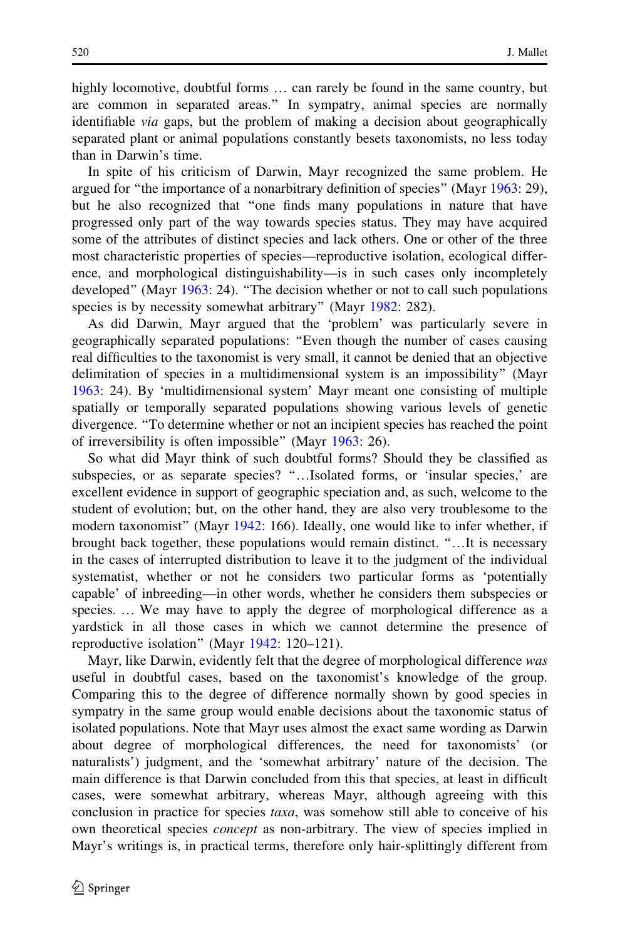highly locomotive, doubtful forms ... can rarely be found in the same country, but are common in separated areas.'' In sympatry, animal species are normally identifiable via gaps, but the problem of making a decision about geographically separated plant or animal populations constantly besets taxonomists, no less today than in Darwin's time.

In spite of his criticism of Darwin, Mayr recognized the same problem. He argued for ''the importance of a nonarbitrary definition of species'' (Mayr [1963](#page-28-0): 29), but he also recognized that ''one finds many populations in nature that have progressed only part of the way towards species status. They may have acquired some of the attributes of distinct species and lack others. One or other of the three most characteristic properties of species—reproductive isolation, ecological difference, and morphological distinguishability—is in such cases only incompletely developed'' (Mayr [1963:](#page-28-0) 24). ''The decision whether or not to call such populations species is by necessity somewhat arbitrary'' (Mayr [1982:](#page-29-0) 282).

As did Darwin, Mayr argued that the 'problem' was particularly severe in geographically separated populations: ''Even though the number of cases causing real difficulties to the taxonomist is very small, it cannot be denied that an objective delimitation of species in a multidimensional system is an impossibility'' (Mayr [1963:](#page-28-0) 24). By 'multidimensional system' Mayr meant one consisting of multiple spatially or temporally separated populations showing various levels of genetic divergence. ''To determine whether or not an incipient species has reached the point of irreversibility is often impossible'' (Mayr [1963:](#page-28-0) 26).

So what did Mayr think of such doubtful forms? Should they be classified as subspecies, or as separate species? ''…Isolated forms, or 'insular species,' are excellent evidence in support of geographic speciation and, as such, welcome to the student of evolution; but, on the other hand, they are also very troublesome to the modern taxonomist'' (Mayr [1942](#page-28-0): 166). Ideally, one would like to infer whether, if brought back together, these populations would remain distinct. ''…It is necessary in the cases of interrupted distribution to leave it to the judgment of the individual systematist, whether or not he considers two particular forms as 'potentially capable' of inbreeding—in other words, whether he considers them subspecies or species. … We may have to apply the degree of morphological difference as a yardstick in all those cases in which we cannot determine the presence of reproductive isolation'' (Mayr [1942:](#page-28-0) 120–121).

Mayr, like Darwin, evidently felt that the degree of morphological difference was useful in doubtful cases, based on the taxonomist's knowledge of the group. Comparing this to the degree of difference normally shown by good species in sympatry in the same group would enable decisions about the taxonomic status of isolated populations. Note that Mayr uses almost the exact same wording as Darwin about degree of morphological differences, the need for taxonomists' (or naturalists') judgment, and the 'somewhat arbitrary' nature of the decision. The main difference is that Darwin concluded from this that species, at least in difficult cases, were somewhat arbitrary, whereas Mayr, although agreeing with this conclusion in practice for species *taxa*, was somehow still able to conceive of his own theoretical species concept as non-arbitrary. The view of species implied in Mayr's writings is, in practical terms, therefore only hair-splittingly different from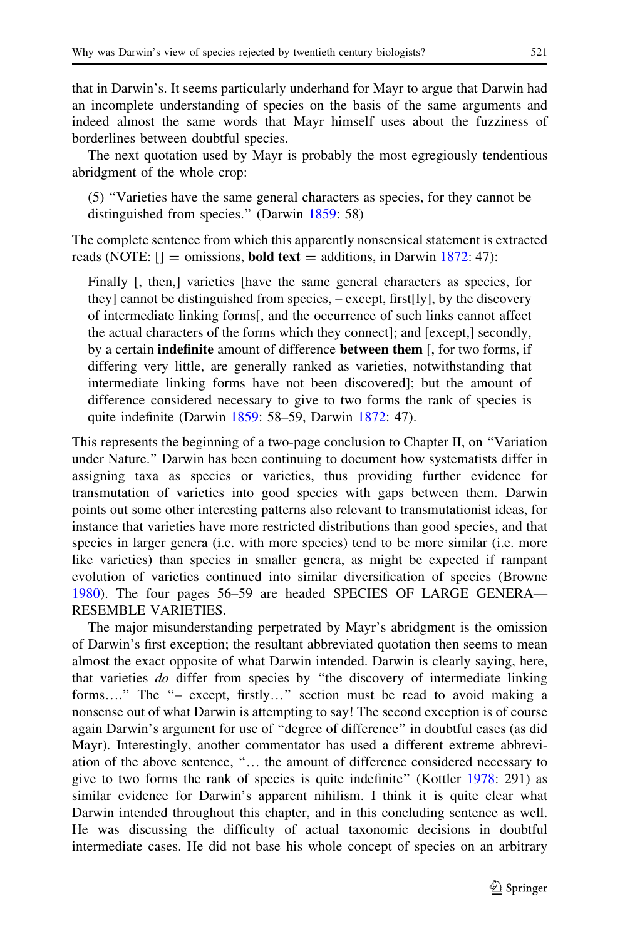that in Darwin's. It seems particularly underhand for Mayr to argue that Darwin had an incomplete understanding of species on the basis of the same arguments and indeed almost the same words that Mayr himself uses about the fuzziness of borderlines between doubtful species.

The next quotation used by Mayr is probably the most egregiously tendentious abridgment of the whole crop:

(5) ''Varieties have the same general characters as species, for they cannot be distinguished from species.'' (Darwin [1859:](#page-27-0) 58)

The complete sentence from which this apparently nonsensical statement is extracted reads (NOTE:  $[] =$  omissions, **bold text** = additions, in Darwin [1872:](#page-27-0) 47):

Finally [, then,] varieties [have the same general characters as species, for they] cannot be distinguished from species, – except, first[ly], by the discovery of intermediate linking forms[, and the occurrence of such links cannot affect the actual characters of the forms which they connect]; and [except,] secondly, by a certain **indefinite** amount of difference **between them** [, for two forms, if differing very little, are generally ranked as varieties, notwithstanding that intermediate linking forms have not been discovered]; but the amount of difference considered necessary to give to two forms the rank of species is quite indefinite (Darwin [1859](#page-27-0): 58–59, Darwin [1872:](#page-27-0) 47).

This represents the beginning of a two-page conclusion to Chapter II, on ''Variation under Nature.'' Darwin has been continuing to document how systematists differ in assigning taxa as species or varieties, thus providing further evidence for transmutation of varieties into good species with gaps between them. Darwin points out some other interesting patterns also relevant to transmutationist ideas, for instance that varieties have more restricted distributions than good species, and that species in larger genera (i.e. with more species) tend to be more similar (i.e. more like varieties) than species in smaller genera, as might be expected if rampant evolution of varieties continued into similar diversification of species (Browne [1980\)](#page-26-0). The four pages 56–59 are headed SPECIES OF LARGE GENERA— RESEMBLE VARIETIES.

The major misunderstanding perpetrated by Mayr's abridgment is the omission of Darwin's first exception; the resultant abbreviated quotation then seems to mean almost the exact opposite of what Darwin intended. Darwin is clearly saying, here, that varieties do differ from species by ''the discovery of intermediate linking forms...." The "- except, firstly..." section must be read to avoid making a nonsense out of what Darwin is attempting to say! The second exception is of course again Darwin's argument for use of ''degree of difference'' in doubtful cases (as did Mayr). Interestingly, another commentator has used a different extreme abbreviation of the above sentence, ''… the amount of difference considered necessary to give to two forms the rank of species is quite indefinite'' (Kottler [1978:](#page-28-0) 291) as similar evidence for Darwin's apparent nihilism. I think it is quite clear what Darwin intended throughout this chapter, and in this concluding sentence as well. He was discussing the difficulty of actual taxonomic decisions in doubtful intermediate cases. He did not base his whole concept of species on an arbitrary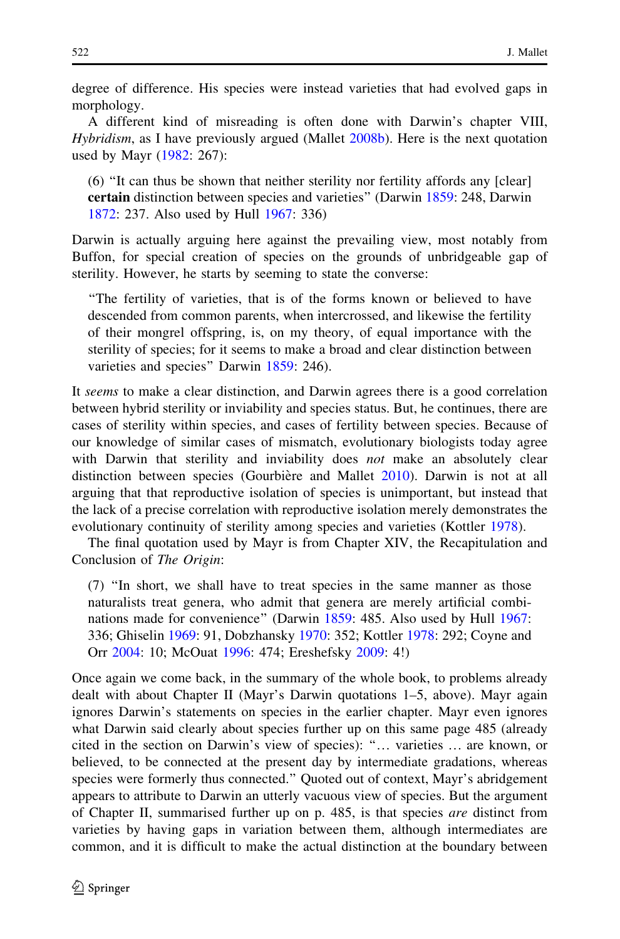degree of difference. His species were instead varieties that had evolved gaps in morphology.

A different kind of misreading is often done with Darwin's chapter VIII, Hybridism, as I have previously argued (Mallet [2008b\)](#page-28-0). Here is the next quotation used by Mayr [\(1982](#page-29-0): 267):

(6) ''It can thus be shown that neither sterility nor fertility affords any [clear] certain distinction between species and varieties'' (Darwin [1859:](#page-27-0) 248, Darwin [1872](#page-27-0): 237. Also used by Hull [1967](#page-28-0): 336)

Darwin is actually arguing here against the prevailing view, most notably from Buffon, for special creation of species on the grounds of unbridgeable gap of sterility. However, he starts by seeming to state the converse:

''The fertility of varieties, that is of the forms known or believed to have descended from common parents, when intercrossed, and likewise the fertility of their mongrel offspring, is, on my theory, of equal importance with the sterility of species; for it seems to make a broad and clear distinction between varieties and species'' Darwin [1859](#page-27-0): 246).

It seems to make a clear distinction, and Darwin agrees there is a good correlation between hybrid sterility or inviability and species status. But, he continues, there are cases of sterility within species, and cases of fertility between species. Because of our knowledge of similar cases of mismatch, evolutionary biologists today agree with Darwin that sterility and inviability does *not* make an absolutely clear distinction between species (Gourbière and Mallet [2010](#page-27-0)). Darwin is not at all arguing that that reproductive isolation of species is unimportant, but instead that the lack of a precise correlation with reproductive isolation merely demonstrates the evolutionary continuity of sterility among species and varieties (Kottler [1978](#page-28-0)).

The final quotation used by Mayr is from Chapter XIV, the Recapitulation and Conclusion of The Origin:

(7) ''In short, we shall have to treat species in the same manner as those naturalists treat genera, who admit that genera are merely artificial combinations made for convenience'' (Darwin [1859:](#page-27-0) 485. Also used by Hull [1967](#page-28-0): 336; Ghiselin [1969](#page-27-0): 91, Dobzhansky [1970:](#page-27-0) 352; Kottler [1978](#page-28-0): 292; Coyne and Orr [2004](#page-27-0): 10; McOuat [1996:](#page-29-0) 474; Ereshefsky [2009:](#page-27-0) 4!)

Once again we come back, in the summary of the whole book, to problems already dealt with about Chapter II (Mayr's Darwin quotations 1–5, above). Mayr again ignores Darwin's statements on species in the earlier chapter. Mayr even ignores what Darwin said clearly about species further up on this same page 485 (already cited in the section on Darwin's view of species): ''… varieties … are known, or believed, to be connected at the present day by intermediate gradations, whereas species were formerly thus connected.'' Quoted out of context, Mayr's abridgement appears to attribute to Darwin an utterly vacuous view of species. But the argument of Chapter II, summarised further up on p. 485, is that species are distinct from varieties by having gaps in variation between them, although intermediates are common, and it is difficult to make the actual distinction at the boundary between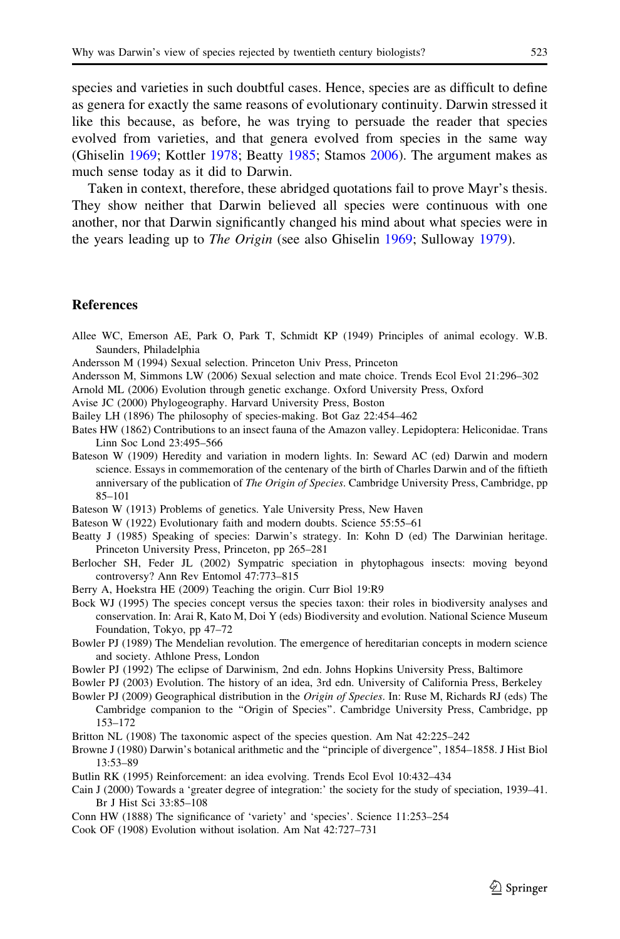<span id="page-26-0"></span>species and varieties in such doubtful cases. Hence, species are as difficult to define as genera for exactly the same reasons of evolutionary continuity. Darwin stressed it like this because, as before, he was trying to persuade the reader that species evolved from varieties, and that genera evolved from species in the same way (Ghiselin [1969](#page-27-0); Kottler [1978;](#page-28-0) Beatty 1985; Stamos [2006\)](#page-30-0). The argument makes as much sense today as it did to Darwin.

Taken in context, therefore, these abridged quotations fail to prove Mayr's thesis. They show neither that Darwin believed all species were continuous with one another, nor that Darwin significantly changed his mind about what species were in the years leading up to The Origin (see also Ghiselin [1969;](#page-27-0) Sulloway [1979\)](#page-30-0).

#### **References**

- Allee WC, Emerson AE, Park O, Park T, Schmidt KP (1949) Principles of animal ecology. W.B. Saunders, Philadelphia
- Andersson M (1994) Sexual selection. Princeton Univ Press, Princeton
- Andersson M, Simmons LW (2006) Sexual selection and mate choice. Trends Ecol Evol 21:296–302
- Arnold ML (2006) Evolution through genetic exchange. Oxford University Press, Oxford
- Avise JC (2000) Phylogeography. Harvard University Press, Boston
- Bailey LH (1896) The philosophy of species-making. Bot Gaz 22:454–462

Bates HW (1862) Contributions to an insect fauna of the Amazon valley. Lepidoptera: Heliconidae. Trans Linn Soc Lond 23:495–566

- Bateson W (1909) Heredity and variation in modern lights. In: Seward AC (ed) Darwin and modern science. Essays in commemoration of the centenary of the birth of Charles Darwin and of the fiftieth anniversary of the publication of The Origin of Species. Cambridge University Press, Cambridge, pp 85–101
- Bateson W (1913) Problems of genetics. Yale University Press, New Haven
- Bateson W (1922) Evolutionary faith and modern doubts. Science 55:55–61
- Beatty J (1985) Speaking of species: Darwin's strategy. In: Kohn D (ed) The Darwinian heritage. Princeton University Press, Princeton, pp 265–281
- Berlocher SH, Feder JL (2002) Sympatric speciation in phytophagous insects: moving beyond controversy? Ann Rev Entomol 47:773–815
- Berry A, Hoekstra HE (2009) Teaching the origin. Curr Biol 19:R9

Bock WJ (1995) The species concept versus the species taxon: their roles in biodiversity analyses and conservation. In: Arai R, Kato M, Doi Y (eds) Biodiversity and evolution. National Science Museum Foundation, Tokyo, pp 47–72

- Bowler PJ (1989) The Mendelian revolution. The emergence of hereditarian concepts in modern science and society. Athlone Press, London
- Bowler PJ (1992) The eclipse of Darwinism, 2nd edn. Johns Hopkins University Press, Baltimore

Bowler PJ (2003) Evolution. The history of an idea, 3rd edn. University of California Press, Berkeley

- Bowler PJ (2009) Geographical distribution in the *Origin of Species*. In: Ruse M, Richards RJ (eds) The Cambridge companion to the ''Origin of Species''. Cambridge University Press, Cambridge, pp 153–172
- Britton NL (1908) The taxonomic aspect of the species question. Am Nat 42:225–242
- Browne J (1980) Darwin's botanical arithmetic and the ''principle of divergence'', 1854–1858. J Hist Biol 13:53–89
- Butlin RK (1995) Reinforcement: an idea evolving. Trends Ecol Evol 10:432–434
- Cain J (2000) Towards a 'greater degree of integration:' the society for the study of speciation, 1939–41. Br J Hist Sci 33:85–108
- Conn HW (1888) The significance of 'variety' and 'species'. Science 11:253–254
- Cook OF (1908) Evolution without isolation. Am Nat 42:727–731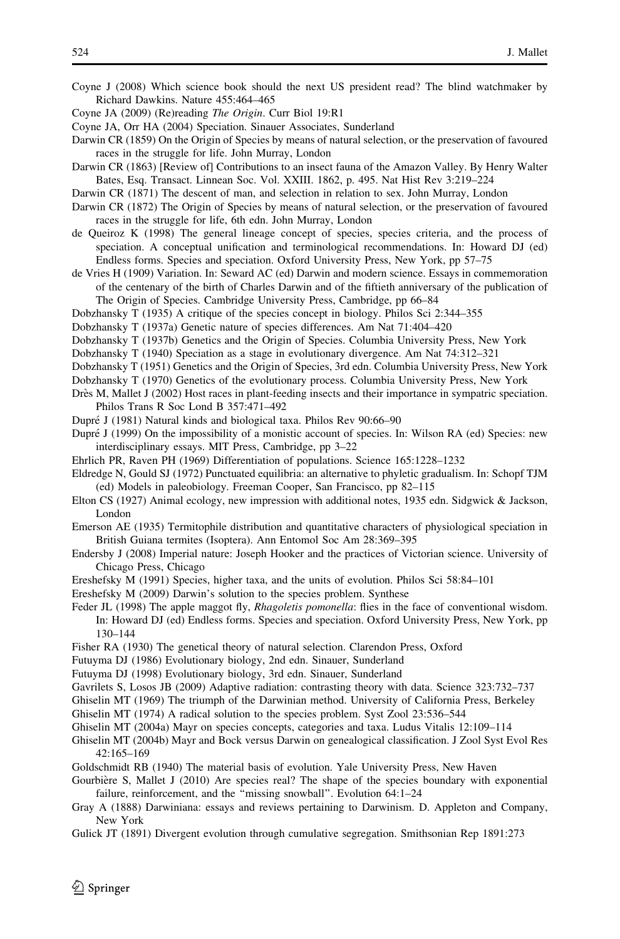<span id="page-27-0"></span>Coyne J (2008) Which science book should the next US president read? The blind watchmaker by Richard Dawkins. Nature 455:464–465

Coyne JA (2009) (Re)reading The Origin. Curr Biol 19:R1

Coyne JA, Orr HA (2004) Speciation. Sinauer Associates, Sunderland

Darwin CR (1859) On the Origin of Species by means of natural selection, or the preservation of favoured races in the struggle for life. John Murray, London

Darwin CR (1863) [Review of] Contributions to an insect fauna of the Amazon Valley. By Henry Walter Bates, Esq. Transact. Linnean Soc. Vol. XXIII. 1862, p. 495. Nat Hist Rev 3:219–224

Darwin CR (1871) The descent of man, and selection in relation to sex. John Murray, London

Darwin CR (1872) The Origin of Species by means of natural selection, or the preservation of favoured races in the struggle for life, 6th edn. John Murray, London

de Queiroz K (1998) The general lineage concept of species, species criteria, and the process of speciation. A conceptual unification and terminological recommendations. In: Howard DJ (ed) Endless forms. Species and speciation. Oxford University Press, New York, pp 57–75

de Vries H (1909) Variation. In: Seward AC (ed) Darwin and modern science. Essays in commemoration of the centenary of the birth of Charles Darwin and of the fiftieth anniversary of the publication of The Origin of Species. Cambridge University Press, Cambridge, pp 66–84

Dobzhansky T (1935) A critique of the species concept in biology. Philos Sci 2:344–355

Dobzhansky T (1937a) Genetic nature of species differences. Am Nat 71:404–420

Dobzhansky T (1937b) Genetics and the Origin of Species. Columbia University Press, New York

Dobzhansky T (1940) Speciation as a stage in evolutionary divergence. Am Nat 74:312–321

- Dobzhansky T (1951) Genetics and the Origin of Species, 3rd edn. Columbia University Press, New York
- Dobzhansky T (1970) Genetics of the evolutionary process. Columbia University Press, New York

Drès M, Mallet J (2002) Host races in plant-feeding insects and their importance in sympatric speciation. Philos Trans R Soc Lond B 357:471–492

Dupré J (1981) Natural kinds and biological taxa. Philos Rev 90:66–90

Dupré J (1999) On the impossibility of a monistic account of species. In: Wilson RA (ed) Species: new interdisciplinary essays. MIT Press, Cambridge, pp 3–22

Ehrlich PR, Raven PH (1969) Differentiation of populations. Science 165:1228–1232

Eldredge N, Gould SJ (1972) Punctuated equilibria: an alternative to phyletic gradualism. In: Schopf TJM (ed) Models in paleobiology. Freeman Cooper, San Francisco, pp 82–115

Elton CS (1927) Animal ecology, new impression with additional notes, 1935 edn. Sidgwick & Jackson, London

Emerson AE (1935) Termitophile distribution and quantitative characters of physiological speciation in British Guiana termites (Isoptera). Ann Entomol Soc Am 28:369–395

Endersby J (2008) Imperial nature: Joseph Hooker and the practices of Victorian science. University of Chicago Press, Chicago

Ereshefsky M (1991) Species, higher taxa, and the units of evolution. Philos Sci 58:84–101

Ereshefsky M (2009) Darwin's solution to the species problem. Synthese

Feder JL (1998) The apple maggot fly, Rhagoletis pomonella: flies in the face of conventional wisdom. In: Howard DJ (ed) Endless forms. Species and speciation. Oxford University Press, New York, pp 130–144

Fisher RA (1930) The genetical theory of natural selection. Clarendon Press, Oxford

Futuyma DJ (1986) Evolutionary biology, 2nd edn. Sinauer, Sunderland

Futuyma DJ (1998) Evolutionary biology, 3rd edn. Sinauer, Sunderland

Gavrilets S, Losos JB (2009) Adaptive radiation: contrasting theory with data. Science 323:732–737

Ghiselin MT (1969) The triumph of the Darwinian method. University of California Press, Berkeley

Ghiselin MT (1974) A radical solution to the species problem. Syst Zool 23:536–544

Ghiselin MT (2004a) Mayr on species concepts, categories and taxa. Ludus Vitalis 12:109–114

Ghiselin MT (2004b) Mayr and Bock versus Darwin on genealogical classification. J Zool Syst Evol Res 42:165–169

Goldschmidt RB (1940) The material basis of evolution. Yale University Press, New Haven

Gourbière S, Mallet J (2010) Are species real? The shape of the species boundary with exponential failure, reinforcement, and the ''missing snowball''. Evolution 64:1–24

Gray A (1888) Darwiniana: essays and reviews pertaining to Darwinism. D. Appleton and Company, New York

Gulick JT (1891) Divergent evolution through cumulative segregation. Smithsonian Rep 1891:273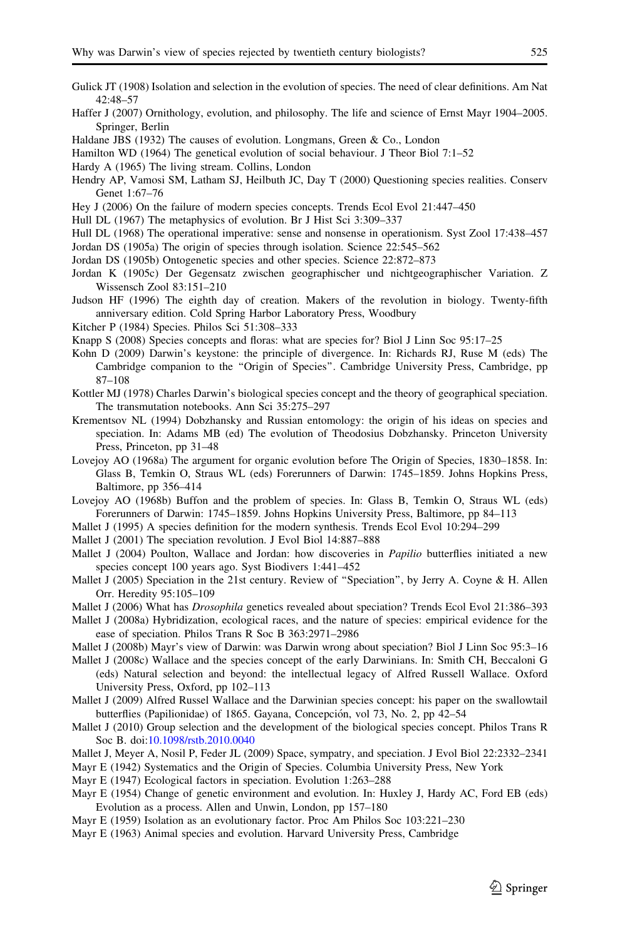- <span id="page-28-0"></span>Gulick JT (1908) Isolation and selection in the evolution of species. The need of clear definitions. Am Nat  $42.48 - 57$
- Haffer J (2007) Ornithology, evolution, and philosophy. The life and science of Ernst Mayr 1904–2005. Springer, Berlin
- Haldane JBS (1932) The causes of evolution. Longmans, Green & Co., London

Hamilton WD (1964) The genetical evolution of social behaviour. J Theor Biol 7:1–52

Hardy A (1965) The living stream. Collins, London

- Hendry AP, Vamosi SM, Latham SJ, Heilbuth JC, Day T (2000) Questioning species realities. Conserv Genet 1:67–76
- Hey J (2006) On the failure of modern species concepts. Trends Ecol Evol 21:447–450

Hull DL (1967) The metaphysics of evolution. Br J Hist Sci 3:309–337

- Hull DL (1968) The operational imperative: sense and nonsense in operationism. Syst Zool 17:438–457 Jordan DS (1905a) The origin of species through isolation. Science 22:545–562
- Jordan DS (1905b) Ontogenetic species and other species. Science 22:872–873
- Jordan K (1905c) Der Gegensatz zwischen geographischer und nichtgeographischer Variation. Z Wissensch Zool 83:151–210
- Judson HF (1996) The eighth day of creation. Makers of the revolution in biology. Twenty-fifth anniversary edition. Cold Spring Harbor Laboratory Press, Woodbury

Kitcher P (1984) Species. Philos Sci 51:308–333

- Knapp S (2008) Species concepts and floras: what are species for? Biol J Linn Soc 95:17–25
- Kohn D (2009) Darwin's keystone: the principle of divergence. In: Richards RJ, Ruse M (eds) The Cambridge companion to the ''Origin of Species''. Cambridge University Press, Cambridge, pp 87–108
- Kottler MJ (1978) Charles Darwin's biological species concept and the theory of geographical speciation. The transmutation notebooks. Ann Sci 35:275–297
- Krementsov NL (1994) Dobzhansky and Russian entomology: the origin of his ideas on species and speciation. In: Adams MB (ed) The evolution of Theodosius Dobzhansky. Princeton University Press, Princeton, pp 31–48
- Lovejoy AO (1968a) The argument for organic evolution before The Origin of Species, 1830–1858. In: Glass B, Temkin O, Straus WL (eds) Forerunners of Darwin: 1745–1859. Johns Hopkins Press, Baltimore, pp 356–414
- Lovejoy AO (1968b) Buffon and the problem of species. In: Glass B, Temkin O, Straus WL (eds) Forerunners of Darwin: 1745–1859. Johns Hopkins University Press, Baltimore, pp 84–113

Mallet J (1995) A species definition for the modern synthesis. Trends Ecol Evol 10:294–299

- Mallet J (2001) The speciation revolution. J Evol Biol 14:887–888
- Mallet J (2004) Poulton, Wallace and Jordan: how discoveries in Papilio butterflies initiated a new species concept 100 years ago. Syst Biodivers 1:441–452
- Mallet J (2005) Speciation in the 21st century. Review of ''Speciation'', by Jerry A. Coyne & H. Allen Orr. Heredity 95:105–109
- Mallet J (2006) What has *Drosophila* genetics revealed about speciation? Trends Ecol Evol 21:386–393
- Mallet J (2008a) Hybridization, ecological races, and the nature of species: empirical evidence for the ease of speciation. Philos Trans R Soc B 363:2971–2986
- Mallet J (2008b) Mayr's view of Darwin: was Darwin wrong about speciation? Biol J Linn Soc 95:3–16
- Mallet J (2008c) Wallace and the species concept of the early Darwinians. In: Smith CH, Beccaloni G (eds) Natural selection and beyond: the intellectual legacy of Alfred Russell Wallace. Oxford University Press, Oxford, pp 102–113
- Mallet J (2009) Alfred Russel Wallace and the Darwinian species concept: his paper on the swallowtail butterflies (Papilionidae) of 1865. Gayana, Concepción, vol 73, No. 2, pp 42–54
- Mallet J (2010) Group selection and the development of the biological species concept. Philos Trans R Soc B. doi:[10.1098/rstb.2010.0040](http://dx.doi.org/10.1098/rstb.2010.0040)
- Mallet J, Meyer A, Nosil P, Feder JL (2009) Space, sympatry, and speciation. J Evol Biol 22:2332–2341

Mayr E (1942) Systematics and the Origin of Species. Columbia University Press, New York

- Mayr E (1947) Ecological factors in speciation. Evolution 1:263–288
- Mayr E (1954) Change of genetic environment and evolution. In: Huxley J, Hardy AC, Ford EB (eds) Evolution as a process. Allen and Unwin, London, pp 157–180
- Mayr E (1959) Isolation as an evolutionary factor. Proc Am Philos Soc 103:221–230
- Mayr E (1963) Animal species and evolution. Harvard University Press, Cambridge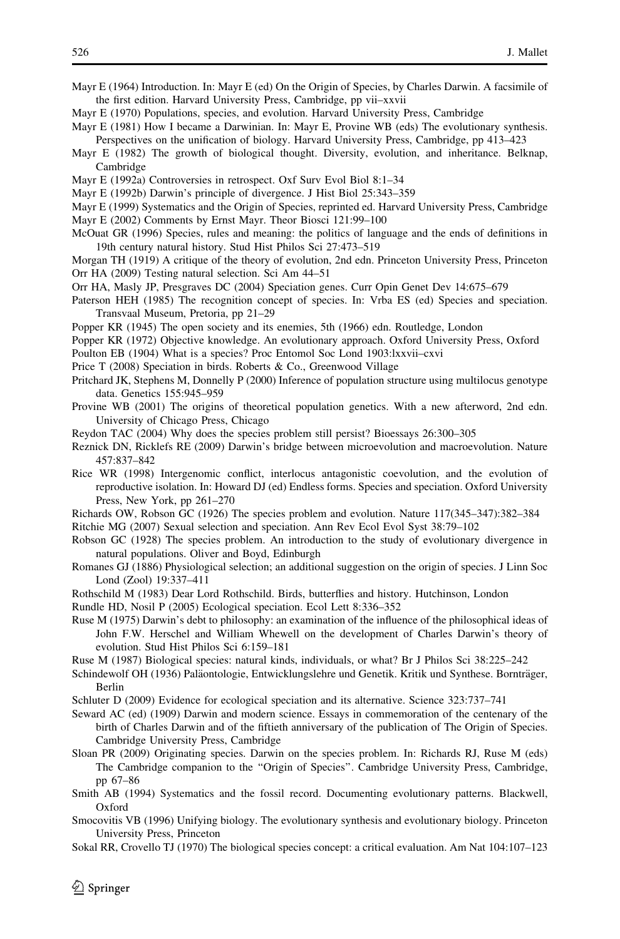- <span id="page-29-0"></span>Mayr E (1964) Introduction. In: Mayr E (ed) On the Origin of Species, by Charles Darwin. A facsimile of the first edition. Harvard University Press, Cambridge, pp vii–xxvii
- Mayr E (1970) Populations, species, and evolution. Harvard University Press, Cambridge
- Mayr E (1981) How I became a Darwinian. In: Mayr E, Provine WB (eds) The evolutionary synthesis. Perspectives on the unification of biology. Harvard University Press, Cambridge, pp 413–423
- Mayr E (1982) The growth of biological thought. Diversity, evolution, and inheritance. Belknap, Cambridge
- Mayr E (1992a) Controversies in retrospect. Oxf Surv Evol Biol 8:1–34
- Mayr E (1992b) Darwin's principle of divergence. J Hist Biol 25:343–359
- Mayr E (1999) Systematics and the Origin of Species, reprinted ed. Harvard University Press, Cambridge Mayr E (2002) Comments by Ernst Mayr. Theor Biosci 121:99–100
- McOuat GR (1996) Species, rules and meaning: the politics of language and the ends of definitions in 19th century natural history. Stud Hist Philos Sci 27:473–519
- Morgan TH (1919) A critique of the theory of evolution, 2nd edn. Princeton University Press, Princeton Orr HA (2009) Testing natural selection. Sci Am 44–51
- Orr HA, Masly JP, Presgraves DC (2004) Speciation genes. Curr Opin Genet Dev 14:675–679
- Paterson HEH (1985) The recognition concept of species. In: Vrba ES (ed) Species and speciation. Transvaal Museum, Pretoria, pp 21–29
- Popper KR (1945) The open society and its enemies, 5th (1966) edn. Routledge, London
- Popper KR (1972) Objective knowledge. An evolutionary approach. Oxford University Press, Oxford
- Poulton EB (1904) What is a species? Proc Entomol Soc Lond 1903:lxxvii–cxvi
- Price T (2008) Speciation in birds. Roberts & Co., Greenwood Village
- Pritchard JK, Stephens M, Donnelly P (2000) Inference of population structure using multilocus genotype data. Genetics 155:945–959
- Provine WB (2001) The origins of theoretical population genetics. With a new afterword, 2nd edn. University of Chicago Press, Chicago
- Reydon TAC (2004) Why does the species problem still persist? Bioessays 26:300–305
- Reznick DN, Ricklefs RE (2009) Darwin's bridge between microevolution and macroevolution. Nature 457:837–842
- Rice WR (1998) Intergenomic conflict, interlocus antagonistic coevolution, and the evolution of reproductive isolation. In: Howard DJ (ed) Endless forms. Species and speciation. Oxford University Press, New York, pp 261–270
- Richards OW, Robson GC (1926) The species problem and evolution. Nature 117(345–347):382–384
- Ritchie MG (2007) Sexual selection and speciation. Ann Rev Ecol Evol Syst 38:79–102
- Robson GC (1928) The species problem. An introduction to the study of evolutionary divergence in natural populations. Oliver and Boyd, Edinburgh
- Romanes GJ (1886) Physiological selection; an additional suggestion on the origin of species. J Linn Soc Lond (Zool) 19:337–411
- Rothschild M (1983) Dear Lord Rothschild. Birds, butterflies and history. Hutchinson, London
- Rundle HD, Nosil P (2005) Ecological speciation. Ecol Lett 8:336–352
- Ruse M (1975) Darwin's debt to philosophy: an examination of the influence of the philosophical ideas of John F.W. Herschel and William Whewell on the development of Charles Darwin's theory of evolution. Stud Hist Philos Sci 6:159–181
- Ruse M (1987) Biological species: natural kinds, individuals, or what? Br J Philos Sci 38:225–242
- Schindewolf OH (1936) Paläontologie, Entwicklungslehre und Genetik. Kritik und Synthese. Bornträger, Berlin
- Schluter D (2009) Evidence for ecological speciation and its alternative. Science 323:737–741
- Seward AC (ed) (1909) Darwin and modern science. Essays in commemoration of the centenary of the birth of Charles Darwin and of the fiftieth anniversary of the publication of The Origin of Species. Cambridge University Press, Cambridge
- Sloan PR (2009) Originating species. Darwin on the species problem. In: Richards RJ, Ruse M (eds) The Cambridge companion to the ''Origin of Species''. Cambridge University Press, Cambridge, pp 67–86
- Smith AB (1994) Systematics and the fossil record. Documenting evolutionary patterns. Blackwell, Oxford
- Smocovitis VB (1996) Unifying biology. The evolutionary synthesis and evolutionary biology. Princeton University Press, Princeton
- Sokal RR, Crovello TJ (1970) The biological species concept: a critical evaluation. Am Nat 104:107–123